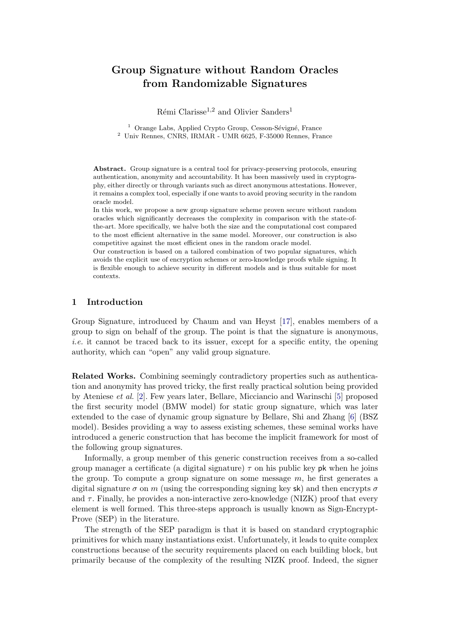# Group Signature without Random Oracles from Randomizable Signatures

 $Rémi$  Clarisse<sup>1,2</sup> and Olivier Sanders<sup>1</sup>

 $1$  Orange Labs, Applied Crypto Group, Cesson-Sévigné, France

<sup>2</sup> Univ Rennes, CNRS, IRMAR - UMR 6625, F-35000 Rennes, France

Abstract. Group signature is a central tool for privacy-preserving protocols, ensuring authentication, anonymity and accountability. It has been massively used in cryptography, either directly or through variants such as direct anonymous attestations. However, it remains a complex tool, especially if one wants to avoid proving security in the random oracle model.

In this work, we propose a new group signature scheme proven secure without random oracles which significantly decreases the complexity in comparison with the state-ofthe-art. More specifically, we halve both the size and the computational cost compared to the most efficient alternative in the same model. Moreover, our construction is also competitive against the most efficient ones in the random oracle model.

Our construction is based on a tailored combination of two popular signatures, which avoids the explicit use of encryption schemes or zero-knowledge proofs while signing. It is flexible enough to achieve security in different models and is thus suitable for most contexts.

# 1 Introduction

Group Signature, introduced by Chaum and van Heyst [\[17\]](#page-14-0), enables members of a group to sign on behalf of the group. The point is that the signature is anonymous, i.e. it cannot be traced back to its issuer, except for a specific entity, the opening authority, which can "open" any valid group signature.

Related Works. Combining seemingly contradictory properties such as authentication and anonymity has proved tricky, the first really practical solution being provided by Ateniese et al. [\[2\]](#page-13-0). Few years later, Bellare, Micciancio and Warinschi [\[5\]](#page-14-1) proposed the first security model (BMW model) for static group signature, which was later extended to the case of dynamic group signature by Bellare, Shi and Zhang [\[6\]](#page-14-2) (BSZ model). Besides providing a way to assess existing schemes, these seminal works have introduced a generic construction that has become the implicit framework for most of the following group signatures.

Informally, a group member of this generic construction receives from a so-called group manager a certificate (a digital signature)  $\tau$  on his public key pk when he joins the group. To compute a group signature on some message  $m$ , he first generates a digital signature  $\sigma$  on m (using the corresponding signing key sk) and then encrypts  $\sigma$ and  $\tau$ . Finally, he provides a non-interactive zero-knowledge (NIZK) proof that every element is well formed. This three-steps approach is usually known as Sign-Encrypt-Prove (SEP) in the literature.

The strength of the SEP paradigm is that it is based on standard cryptographic primitives for which many instantiations exist. Unfortunately, it leads to quite complex constructions because of the security requirements placed on each building block, but primarily because of the complexity of the resulting NIZK proof. Indeed, the signer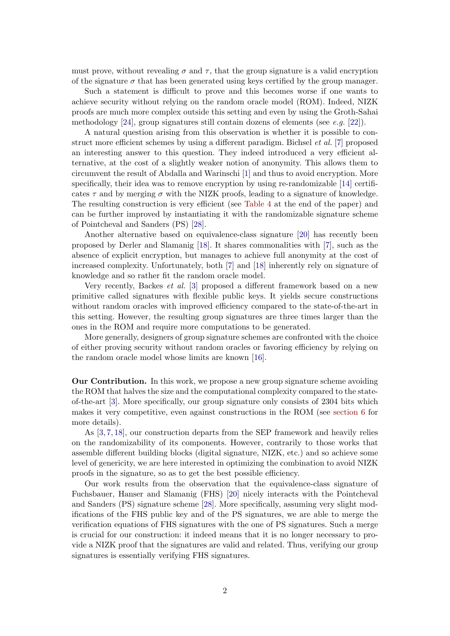must prove, without revealing  $\sigma$  and  $\tau$ , that the group signature is a valid encryption of the signature  $\sigma$  that has been generated using keys certified by the group manager.

Such a statement is difficult to prove and this becomes worse if one wants to achieve security without relying on the random oracle model (ROM). Indeed, NIZK proofs are much more complex outside this setting and even by using the Groth-Sahai methodology [\[24\]](#page-14-3), group signatures still contain dozens of elements (see e.g. [\[22\]](#page-14-4)).

A natural question arising from this observation is whether it is possible to con-struct more efficient schemes by using a different paradigm. Bichsel et al. [\[7\]](#page-14-5) proposed an interesting answer to this question. They indeed introduced a very efficient alternative, at the cost of a slightly weaker notion of anonymity. This allows them to circumvent the result of Abdalla and Warinschi [\[1\]](#page-13-1) and thus to avoid encryption. More specifically, their idea was to remove encryption by using re-randomizable [\[14\]](#page-14-6) certificates  $\tau$  and by merging  $\sigma$  with the NIZK proofs, leading to a signature of knowledge. The resulting construction is very efficient (see [Table 4](#page-13-2) at the end of the paper) and can be further improved by instantiating it with the randomizable signature scheme of Pointcheval and Sanders (PS) [\[28\]](#page-14-7).

Another alternative based on equivalence-class signature [\[20\]](#page-14-8) has recently been proposed by Derler and Slamanig [\[18\]](#page-14-9). It shares commonalities with [\[7\]](#page-14-5), such as the absence of explicit encryption, but manages to achieve full anonymity at the cost of increased complexity. Unfortunately, both [\[7\]](#page-14-5) and [\[18\]](#page-14-9) inherently rely on signature of knowledge and so rather fit the random oracle model.

Very recently, Backes et al. [\[3\]](#page-14-10) proposed a different framework based on a new primitive called signatures with flexible public keys. It yields secure constructions without random oracles with improved efficiency compared to the state-of-the-art in this setting. However, the resulting group signatures are three times larger than the ones in the ROM and require more computations to be generated.

More generally, designers of group signature schemes are confronted with the choice of either proving security without random oracles or favoring efficiency by relying on the random oracle model whose limits are known [\[16\]](#page-14-11).

Our Contribution. In this work, we propose a new group signature scheme avoiding the ROM that halves the size and the computational complexity compared to the stateof-the-art [\[3\]](#page-14-10). More specifically, our group signature only consists of 2304 bits which makes it very competitive, even against constructions in the ROM (see [section 6](#page-11-0) for more details).

As [\[3,](#page-14-10) [7,](#page-14-5) [18\]](#page-14-9), our construction departs from the SEP framework and heavily relies on the randomizability of its components. However, contrarily to those works that assemble different building blocks (digital signature, NIZK, etc.) and so achieve some level of genericity, we are here interested in optimizing the combination to avoid NIZK proofs in the signature, so as to get the best possible efficiency.

Our work results from the observation that the equivalence-class signature of Fuchsbauer, Hanser and Slamanig (FHS) [\[20\]](#page-14-8) nicely interacts with the Pointcheval and Sanders (PS) signature scheme [\[28\]](#page-14-7). More specifically, assuming very slight modifications of the FHS public key and of the PS signatures, we are able to merge the verification equations of FHS signatures with the one of PS signatures. Such a merge is crucial for our construction: it indeed means that it is no longer necessary to provide a NIZK proof that the signatures are valid and related. Thus, verifying our group signatures is essentially verifying FHS signatures.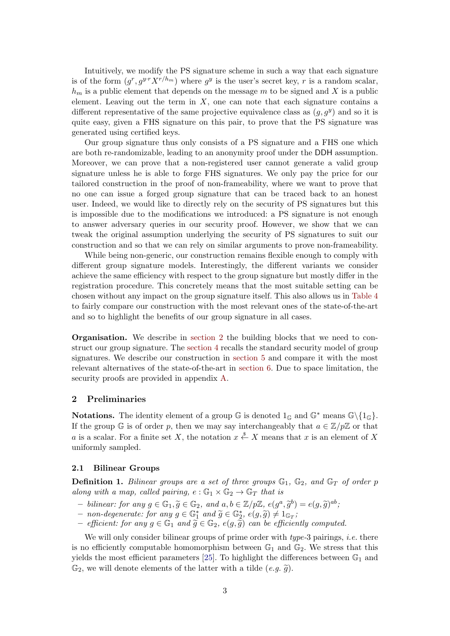Intuitively, we modify the PS signature scheme in such a way that each signature is of the form  $(g^r, g^{y \cdot r} X^{r/h_m})$  where  $g^y$  is the user's secret key, r is a random scalar,  $h_m$  is a public element that depends on the message m to be signed and X is a public element. Leaving out the term in  $X$ , one can note that each signature contains a different representative of the same projective equivalence class as  $(g, g<sup>y</sup>)$  and so it is quite easy, given a FHS signature on this pair, to prove that the PS signature was generated using certified keys.

Our group signature thus only consists of a PS signature and a FHS one which are both re-randomizable, leading to an anonymity proof under the DDH assumption. Moreover, we can prove that a non-registered user cannot generate a valid group signature unless he is able to forge FHS signatures. We only pay the price for our tailored construction in the proof of non-frameability, where we want to prove that no one can issue a forged group signature that can be traced back to an honest user. Indeed, we would like to directly rely on the security of PS signatures but this is impossible due to the modifications we introduced: a PS signature is not enough to answer adversary queries in our security proof. However, we show that we can tweak the original assumption underlying the security of PS signatures to suit our construction and so that we can rely on similar arguments to prove non-frameability.

While being non-generic, our construction remains flexible enough to comply with different group signature models. Interestingly, the different variants we consider achieve the same efficiency with respect to the group signature but mostly differ in the registration procedure. This concretely means that the most suitable setting can be chosen without any impact on the group signature itself. This also allows us in [Table 4](#page-13-2) to fairly compare our construction with the most relevant ones of the state-of-the-art and so to highlight the benefits of our group signature in all cases.

Organisation. We describe in [section 2](#page-2-0) the building blocks that we need to construct our group signature. The [section 4](#page-5-0) recalls the standard security model of group signatures. We describe our construction in [section 5](#page-7-0) and compare it with the most relevant alternatives of the state-of-the-art in [section 6.](#page-11-0) Due to space limitation, the security proofs are provided in appendix [A.](#page-14-12)

# <span id="page-2-0"></span>2 Preliminaries

**Notations.** The identity element of a group  $\mathbb{G}$  is denoted  $1_{\mathbb{G}}$  and  $\mathbb{G}^*$  means  $\mathbb{G}\setminus\{1_{\mathbb{G}}\}.$ If the group G is of order p, then we may say interchangeably that  $a \in \mathbb{Z}/p\mathbb{Z}$  or that a is a scalar. For a finite set X, the notation  $x \stackrel{s}{\leftarrow} X$  means that x is an element of X uniformly sampled.

#### 2.1 Bilinear Groups

**Definition 1.** Bilinear groups are a set of three groups  $\mathbb{G}_1$ ,  $\mathbb{G}_2$ , and  $\mathbb{G}_T$  of order p along with a map, called pairing,  $e : \mathbb{G}_1 \times \mathbb{G}_2 \to \mathbb{G}_T$  that is

- $-$  bilinear: for any  $g \in \mathbb{G}_1$ ,  $\widetilde{g} \in \mathbb{G}_2$ , and  $a, b \in \mathbb{Z}/p\mathbb{Z}$ ,  $e(g^a, \widetilde{g}^b) = e(g, \widetilde{g})^{ab}$ ;<br>  $-$  non-degenerate: for any  $g \in \mathbb{C}^*$  and  $\widetilde{g} \in \mathbb{C}^*$ ,  $e(g, \widetilde{g}) \neq 1$
- non-degenerate: for any  $g \in \mathbb{G}_1^*$  and  $\widetilde{g} \in \mathbb{G}_2^*$ ,  $e(g, \widetilde{g}) \neq 1_{\mathbb{G}_T}$ ;<br>  $e$ fficient: for any  $g \in \mathbb{G}_2$ , and  $\widetilde{g} \in \mathbb{G}_2$ ,  $e(g, \widetilde{g})$  can be efficient
- efficient: for any  $g \in \mathbb{G}_1$  and  $\widetilde{g} \in \mathbb{G}_2$ ,  $e(g, \widetilde{g})$  can be efficiently computed.

We will only consider bilinear groups of prime order with  $type-3$  pairings, *i.e.* there is no efficiently computable homomorphism between  $\mathbb{G}_1$  and  $\mathbb{G}_2$ . We stress that this yields the most efficient parameters [\[25\]](#page-14-13). To highlight the differences between  $\mathbb{G}_1$  and  $\mathbb{G}_2$ , we will denote elements of the latter with a tilde  $(e.g. \tilde{g})$ .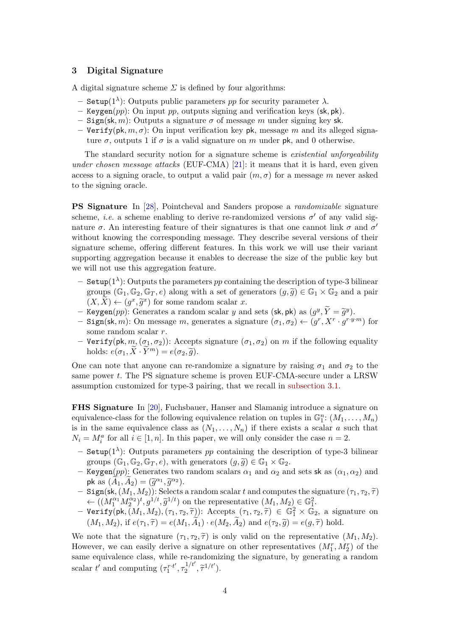# 3 Digital Signature

A digital signature scheme  $\Sigma$  is defined by four algorithms:

- Setup(1<sup> $\lambda$ </sup>): Outputs public parameters pp for security parameter  $\lambda$ .
- Keygen $(pp)$ : On input pp, outputs signing and verification keys (sk, pk).
- Sign(sk, m): Outputs a signature  $\sigma$  of message m under signing key sk.
- Verify(pk,  $m, \sigma$ ): On input verification key pk, message m and its alleged signature  $\sigma$ , outputs 1 if  $\sigma$  is a valid signature on m under pk, and 0 otherwise.

The standard security notion for a signature scheme is *existential unforgeability* under chosen message attacks (EUF-CMA) [\[21\]](#page-14-14): it means that it is hard, even given access to a signing oracle, to output a valid pair  $(m, \sigma)$  for a message m never asked to the signing oracle.

PS Signature In [\[28\]](#page-14-7), Pointcheval and Sanders propose a randomizable signature scheme, *i.e.* a scheme enabling to derive re-randomized versions  $\sigma'$  of any valid signature  $\sigma$ . An interesting feature of their signatures is that one cannot link  $\sigma$  and  $\sigma'$ without knowing the corresponding message. They describe several versions of their signature scheme, offering different features. In this work we will use their variant supporting aggregation because it enables to decrease the size of the public key but we will not use this aggregation feature.

- $-$  Setup(1<sup> $\lambda$ </sup>): Outputs the parameters pp containing the description of type-3 bilinear groups  $(\mathbb{G}_1, \mathbb{G}_2, \mathbb{G}_T, e)$  along with a set of generators  $(g, \widetilde{g}) \in \mathbb{G}_1 \times \mathbb{G}_2$  and a pair  $(X, \tilde{X}) \leftarrow (g^x, \tilde{g}^x)$  for some random scalar x.<br>Keygan(m): Generates a random scalar u.an
- Keygen(pp): Generates a random scalar y and sets (sk, pk) as  $(g^y, \tilde{Y} = \tilde{g}^y)$ .<br>
Sign(sk, m): On message m, generates a signature  $(x, \sigma_0) \leftarrow (g^r, X^r, g^r, y^r)$
- Sign(sk, m): On message m, generates a signature  $(\sigma_1, \sigma_2) \leftarrow (g^r, X^r \cdot g^{r \cdot y \cdot m})$  for some random scalar r.
- Verify(pk,  $m, (\sigma_1, \sigma_2)$ ): Accepts signature  $(\sigma_1, \sigma_2)$  on m if the following equality holds:  $e(\sigma_1, \widetilde{X} \cdot \widetilde{Y}^m) = e(\sigma_2, \widetilde{g}).$

One can note that anyone can re-randomize a signature by raising  $\sigma_1$  and  $\sigma_2$  to the same power t. The PS signature scheme is proven EUF-CMA-secure under a LRSW assumption customized for type-3 pairing, that we recall in [subsection 3.1.](#page-4-0)

FHS Signature In [\[20\]](#page-14-8), Fuchsbauer, Hanser and Slamanig introduce a signature on equivalence-class for the following equivalence relation on tuples in  $\mathbb{G}_1^n: (M_1, \ldots, M_n)$ is in the same equivalence class as  $(N_1, \ldots, N_n)$  if there exists a scalar a such that  $N_i = M_i^a$  for all  $i \in [1, n]$ . In this paper, we will only consider the case  $n = 2$ .

- Setup( $1^{\lambda}$ ): Outputs parameters pp containing the description of type-3 bilinear groups  $(\mathbb{G}_1, \mathbb{G}_2, \mathbb{G}_T, e)$ , with generators  $(g, \widetilde{g}) \in \mathbb{G}_1 \times \mathbb{G}_2$ .
- Keygen(pp): Generates two random scalars  $\alpha_1$  and  $\alpha_2$  and sets sk as  $(\alpha_1, \alpha_2)$  and pk as  $(\widetilde{A}_1, \widetilde{A}_2) = (\widetilde{g}^{\alpha_1}, \widetilde{g}^{\alpha_2}).$ <br>Sign(sk  $(M, M_2)$ ): Solocts
- $-$  Sign(sk,  $(M_1, M_2)$ ): Selects a random scalar t and computes the signature  $(\tau_1, \tau_2, \tilde{\tau})$  $\leftarrow ((M_1^{\alpha_1} M_2^{\alpha_2})^t, g^{1/t}, \tilde{g}^{1/t})$  on the representative  $(M_1, M_2) \in \mathbb{G}_1^2$ .<br>Verify (N, M)  $(\tau_1, \tau_2, \tilde{\tau})$ ): Accents  $(\tau_1, \tau_2, \tilde{\tau}) \in \mathbb{C}^2 \times \mathbb{C}$
- Verify(pk, $(M_1, M_2), (\tau_1, \tau_2, \tilde{\tau})$ ): Accepts  $(\tau_1, \tau_2, \tilde{\tau}) \in \mathbb{G}_1^2 \times \mathbb{G}_2$ , a signature on  $(M, M_1)$ ;  $f_1(\tau_1, \tilde{\tau}_2) = (M, \tilde{A})$  and  $(f_1, \tilde{\tau}_2)$  and  $(f_2, \tilde{\tau}_2)$  held  $(M_1, M_2)$ , if  $e(\tau_1, \tilde{\tau}) = e(M_1, \tilde{A}_1) \cdot e(M_2, \tilde{A}_2)$  and  $e(\tau_2, \tilde{g}) = e(g, \tilde{\tau})$  hold.

We note that the signature  $(\tau_1, \tau_2, \tilde{\tau})$  is only valid on the representative  $(M_1, M_2)$ . However, we can easily derive a signature on other representatives  $(M_1^r, M_2^r)$  of the same equivalence class, while re-randomizing the signature, by generating a random scalar t' and computing  $(\tau_1^{r \cdot t'}$  $T_1^{r \cdot t'}, \tau_2^{1/t'}$  $\frac{1}{2}^{1/t'}, \widetilde{\tau}^{1/t'}).$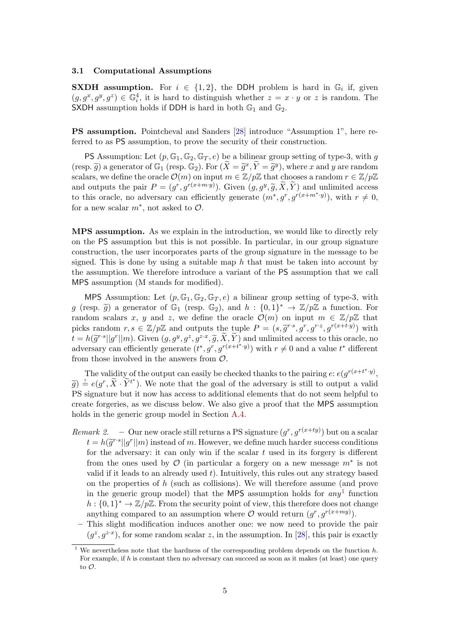#### <span id="page-4-0"></span>3.1 Computational Assumptions

**SXDH** assumption. For  $i \in \{1, 2\}$ , the DDH problem is hard in  $\mathbb{G}_i$  if, given  $(g, g^x, g^y, g^z) \in \mathbb{G}_i^4$ , it is hard to distinguish whether  $z = x \cdot y$  or z is random. The SXDH assumption holds if DDH is hard in both  $\mathbb{G}_1$  and  $\mathbb{G}_2$ .

PS assumption. Pointcheval and Sanders [\[28\]](#page-14-7) introduce "Assumption 1", here referred to as PS assumption, to prove the security of their construction.

PS Assumption: Let  $(p, \mathbb{G}_1, \mathbb{G}_2, \mathbb{G}_T, e)$  be a bilinear group setting of type-3, with g (resp.  $\widetilde{g}$ ) a generator of  $\mathbb{G}_1$  (resp.  $\mathbb{G}_2$ ). For  $(\widetilde{X} = \widetilde{g}^x, \widetilde{Y} = \widetilde{g}^y)$ , where x and y are random scalars, we define the oracle  $\mathcal{O}(m)$  on input  $m \in \mathbb{Z}/p\mathbb{Z}$  that chooses a random  $r \in \mathbb{Z}/p\mathbb{Z}$ and outputs the pair  $P = (g^r, g^{r(x+m\cdot y)})$ . Given  $(g, g^y, \widetilde{g}, \widetilde{X}, \widetilde{Y})$  and unlimited access to this oracle, no adversary can efficiently generate  $(m^*, g^r, g^{r(x+m^*, y)})$ , with  $r \neq 0$ , for a new scalar  $m^*$ , not asked to  $\mathcal{O}$ .

MPS assumption. As we explain in the introduction, we would like to directly rely on the PS assumption but this is not possible. In particular, in our group signature construction, the user incorporates parts of the group signature in the message to be signed. This is done by using a suitable map  $h$  that must be taken into account by the assumption. We therefore introduce a variant of the PS assumption that we call MPS assumption (M stands for modified).

MPS Assumption: Let  $(p, \mathbb{G}_1, \mathbb{G}_2, \mathbb{G}_T, e)$  a bilinear group setting of type-3, with g (resp.  $\tilde{g}$ ) a generator of  $\mathbb{G}_1$  (resp.  $\mathbb{G}_2$ ), and  $h : \{0,1\}^* \to \mathbb{Z}/p\mathbb{Z}$  a function. For<br>random scalars  $x, y$  and  $z$  we define the crash  $\mathcal{O}(m)$  on input  $m \in \mathbb{Z}/p\mathbb{Z}$  that random scalars x, y and z, we define the oracle  $\mathcal{O}(m)$  on input  $m \in \mathbb{Z}/p\mathbb{Z}$  that picks random  $r, s \in \mathbb{Z}/p\mathbb{Z}$  and outputs the tuple  $P = (s, \tilde{g}^{rs}, g^r, g^{r,z}, g^{r(x+ty)})$  with  $t = h(\tilde{s}^{rs}||g^r||_{\mathcal{D}})$ . Civen  $(s, g^y, g^z, \tilde{g}, \tilde{Y}, \tilde{Y})$  and unlimited agoses to this orals no  $t = h(\tilde{g}^{r,s}||g^r||m)$ . Given  $(g, g^y, g^z, g^{z\cdot x}, \tilde{g}, \tilde{X}, \tilde{Y})$  and unlimited access to this oracle, no adversary can efficiently generate  $(t^*, g^r, g^{r(x+t^* \cdot y)})$  with  $r \neq 0$  and a value  $t^*$  different from those involved in the answers from  $\mathcal{O}$ .

The validity of the output can easily be checked thanks to the pairing  $e: e(g^{r(x+t^*,y)},$  $\widetilde{g}$ )  $\stackrel{?}{=} e(g^r, \widetilde{X} \cdot \widetilde{Y}^{t^*})$ . We note that the goal of the adversary is still to output a valid  $PS$  signature but it pow has access to additional elements that do not seem helpful to PS signature but it now has access to additional elements that do not seem helpful to create forgeries, as we discuss below. We also give a proof that the MPS assumption holds in the generic group model in Section [A.4.](#page-19-0)

- Remark 2. Our new oracle still returns a PS signature  $(g^r, g^{r(x+ty)})$  but on a scalar  $t = h(\tilde{g}^{r,s}||g^r||m)$  instead of m. However, we define much harder success conditions<br>for the educatory it can only win if the scalar t used in its forgony is different for the adversary: it can only win if the scalar  $t$  used in its forgery is different from the ones used by  $\mathcal O$  (in particular a forgery on a new message  $m^*$  is not valid if it leads to an already used  $t$ ). Intuitively, this rules out any strategy based on the properties of  $h$  (such as collisions). We will therefore assume (and prove in the generic group model) that the MPS assumption holds for  $any^1$  $any^1$  function  $h: \{0,1\}^* \to \mathbb{Z}/p\mathbb{Z}$ . From the security point of view, this therefore does not change anything compared to an assumption where  $\mathcal O$  would return  $(g^r, g^{r(x+my)})$ .
	- This slight modification induces another one: we now need to provide the pair  $(g^z, g^{z \cdot x})$ , for some random scalar z, in the assumption. In [\[28\]](#page-14-7), this pair is exactly

<span id="page-4-1"></span><sup>&</sup>lt;sup>1</sup> We nevertheless note that the hardness of the corresponding problem depends on the function h. For example, if h is constant then no adversary can succeed as soon as it makes (at least) one query to O.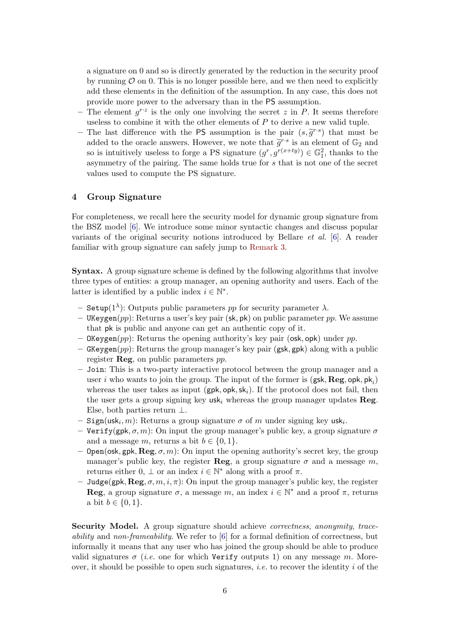a signature on 0 and so is directly generated by the reduction in the security proof by running  $\mathcal O$  on 0. This is no longer possible here, and we then need to explicitly add these elements in the definition of the assumption. In any case, this does not provide more power to the adversary than in the PS assumption.

- The element  $g^{r,z}$  is the only one involving the secret z in P. It seems therefore useless to combine it with the other elements of  $P$  to derive a new valid tuple.
- The last difference with the PS assumption is the pair  $(s, \tilde{g}^{r,s})$  that must be added to the example province. However, we note that  $\tilde{\sigma}^{r,s}$  is an element of  $\mathbb{C}_s$  and added to the oracle answers. However, we note that  $\tilde{g}^{r,s}$  is an element of  $\mathbb{G}_2$  and<br>so is intuitively useless to force a PS signature  $(g^r, g^r(x+ty)) \in \mathbb{C}^2$  thanks to the so is intuitively useless to forge a PS signature  $(g^r, g^{r(x+ty)}) \in \mathbb{G}_1^2$ , thanks to the asymmetry of the pairing. The same holds true for s that is not one of the secret values used to compute the PS signature.

# <span id="page-5-0"></span>4 Group Signature

For completeness, we recall here the security model for dynamic group signature from the BSZ model [\[6\]](#page-14-2). We introduce some minor syntactic changes and discuss popular variants of the original security notions introduced by Bellare et al. [\[6\]](#page-14-2). A reader familiar with group signature can safely jump to [Remark 3.](#page-7-1)

Syntax. A group signature scheme is defined by the following algorithms that involve three types of entities: a group manager, an opening authority and users. Each of the latter is identified by a public index  $i \in \mathbb{N}^*$ .

- Setup(1<sup> $\lambda$ </sup>): Outputs public parameters pp for security parameter  $\lambda$ .
- UKeygen $(pp)$ : Returns a user's key pair  $(\mathsf{sk}, \mathsf{pk})$  on public parameter pp. We assume that pk is public and anyone can get an authentic copy of it.
- OKeygen $(pp)$ : Returns the opening authority's key pair (osk, opk) under pp.
- GKeygen(pp): Returns the group manager's key pair (gsk, gpk) along with a public register Reg, on public parameters pp.
- Join: This is a two-party interactive protocol between the group manager and a user *i* who wants to join the group. The input of the former is  $(s, Reg, opk, pk)$ whereas the user takes as input  $(gpk, ok, sk<sub>i</sub>)$ . If the protocol does not fail, then the user gets a group signing key usk<sub>i</sub> whereas the group manager updates Reg. Else, both parties return  $\perp$ .
- Sign(usk<sub>i</sub>, m): Returns a group signature  $\sigma$  of m under signing key usk<sub>i</sub>.
- Verify(gpk,  $\sigma$ , m): On input the group manager's public key, a group signature σ and a message m, returns a bit  $b \in \{0, 1\}.$
- Open(osk, gpk,  $\textbf{Reg}, \sigma, m$ ): On input the opening authority's secret key, the group manager's public key, the register **Reg**, a group signature  $\sigma$  and a message m, returns either  $0, \perp$  or an index  $i \in \mathbb{N}^*$  along with a proof  $\pi$ .
- Judge(gpk,  $\text{Reg}, \sigma, m, i, \pi$ ): On input the group manager's public key, the register **Reg**, a group signature  $\sigma$ , a message m, an index  $i \in \mathbb{N}^*$  and a proof  $\pi$ , returns a bit  $b \in \{0, 1\}.$

Security Model. A group signature should achieve correctness, anonymity, traceability and non-frameability. We refer to [\[6\]](#page-14-2) for a formal definition of correctness, but informally it means that any user who has joined the group should be able to produce valid signatures  $\sigma$  (*i.e.* one for which Verify outputs 1) on any message m. Moreover, it should be possible to open such signatures, *i.e.* to recover the identity  $i$  of the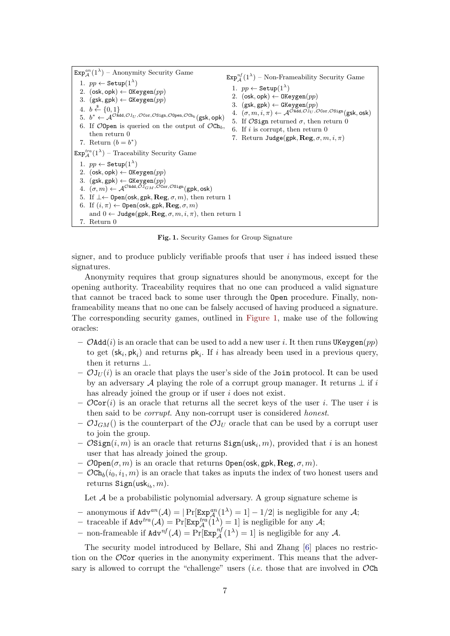$\mathtt{Exp}_{\mathcal{A}}^{an}(1^{\lambda})$  – Anonymity Security Game 1.  $pp \leftarrow$  Setup $(1^{\lambda})$ 2.  $(osk, opk) \leftarrow 0$ Keygen $(pp)$ 3.  $(gsk, gpk) \leftarrow GKeygen(pp)$ 4.  $b \stackrel{\$}{\leftarrow} \{0,1\}$  $5. \ \ b^* \leftarrow \mathcal{A}^{\mathcal{O}\text{Add},\mathcal{O}\text{J}_U,\mathcal{O}\text{Cor},\mathcal{O}\text{Sign},\mathcal{O}$ 0pen, $\mathcal{O}\text{Ch}_b}\left(\text{gsk},\text{opk}\right)$ 6. If  $OOpen$  is queried on the output of  $OCh_b$ , then return 0 7. Return  $(b = b^*)$  $\mathtt{Exp}_{\mathcal{A}}^{nf}(1^{\lambda})$  – Non-Frameability Security Game 1.  $pp \leftarrow$  Setup $(1^{\lambda})$ 2.  $(\text{osk}, \text{opk}) \leftarrow \text{OKeygen}(pp)$ 3.  $(gsk, gpk) \leftarrow$  GKeygen $(pp)$ 4.  $(\sigma, m, i, \pi) \leftarrow \mathcal{A}^{\mathcal{O}\text{Add},\mathcal{O}\text{J}_U, \mathcal{O}\text{Cor}, \mathcal{O}\text{Sign}}(\text{gsk}, \text{osk})$ 5. If  $\mathcal{O}$ Sign returned  $\sigma$ , then return 0 6. If i is corrupt, then return  $0$ 7. Return Judge(gpk,  $\textbf{Re} \mathbf{g}, \sigma, m, i, \pi$ )  $\mathtt{Exp}^{tra}_{\mathcal{A}}(1^{\lambda})$  – Traceability Security Game 1.  $pp \leftarrow$  Setup $(1^{\lambda})$ 2.  $(\text{osk}, \text{opk}) \leftarrow \text{OKeygen}(pp)$ 3.  $(\textsf{gsk}, \textsf{gpk}) \gets \texttt{GKeygen}(pp)$ 4.  $(\sigma, m) \leftarrow \mathcal{A}^{\mathcal{O}\text{Add},\mathcal{O}\text{J}_{GM},\mathcal{O}\text{Cor},\mathcal{O}\text{Sign}}(\text{gpk}, \text{osk})$ 5. If  $\perp$   $\leftarrow$  Open(osk, gpk, Reg,  $\sigma$ , m), then return 1 6. If  $(i, \pi) \leftarrow$  Open(osk, gpk,  $\text{Reg}, \sigma, m$ ) and  $0 \leftarrow$  Judge(gpk, Reg,  $\sigma, m, i, \pi$ ), then return 1 7. Return 0

<span id="page-6-0"></span>Fig. 1. Security Games for Group Signature

signer, and to produce publicly verifiable proofs that user  $i$  has indeed issued these signatures.

Anonymity requires that group signatures should be anonymous, except for the opening authority. Traceability requires that no one can produced a valid signature that cannot be traced back to some user through the Open procedure. Finally, nonframeability means that no one can be falsely accused of having produced a signature. The corresponding security games, outlined in [Figure 1,](#page-6-0) make use of the following oracles:

- $OAdd(i)$  is an oracle that can be used to add a new user i. It then runs UKeygen $(pp)$ to get  $(\mathsf{sk}_i, \mathsf{pk}_i)$  and returns  $\mathsf{pk}_i$ . If i has already been used in a previous query, then it returns ⊥.
- $-\mathcal{O}J_U(i)$  is an oracle that plays the user's side of the Join protocol. It can be used by an adversary A playing the role of a corrupt group manager. It returns  $\perp$  if i has already joined the group or if user *i* does not exist.
- $\mathcal{O}$ Cor $(i)$  is an oracle that returns all the secret keys of the user i. The user i is then said to be corrupt. Any non-corrupt user is considered honest.
- $\mathcal{O}J_{GM}$ ) is the counterpart of the  $\mathcal{O}J_U$  oracle that can be used by a corrupt user to join the group.
- $\mathcal{O}$ Sign $(i, m)$  is an oracle that returns  $\text{Sign}(\text{usk}_i, m)$ , provided that i is an honest user that has already joined the group.
- ODpen( $\sigma$ , m) is an oracle that returns Dpen(osk, gpk, Reg,  $\sigma$ , m).
- $-$  OCh<sub>b</sub>(i<sub>0</sub>, i<sub>1</sub>, m) is an oracle that takes as inputs the index of two honest users and  $r$ eturns  $\texttt{Sign}(\textsf{usk}_{i_b}, m)$ .

Let  $A$  be a probabilistic polynomial adversary. A group signature scheme is

- anonymous if  $\text{Adv}^{an}(\mathcal{A}) = |\Pr[\text{Exp}_{\mathcal{A}}^{an}(1^{\lambda}) = 1] 1/2|$  is negligible for any  $\mathcal{A}$ ;
- traceable if  $\text{Adv}^{tra}(\mathcal{A}) = \Pr[\text{Exp}_{\mathcal{A}}^{tra}(\hat{1}^{\lambda})] = 1]$  is negligible for any  $\mathcal{A}$ ;
- non-frameable if  $\text{Adv}^{nf}(\mathcal{A}) = \Pr[\text{Exp}_{\mathcal{A}}^{nf}(1^{\lambda}) = 1]$  is negligible for any  $\mathcal{A}$ .

The security model introduced by Bellare, Shi and Zhang [\[6\]](#page-14-2) places no restriction on the  $\mathcal{O}$ Cor queries in the anonymity experiment. This means that the adversary is allowed to corrupt the "challenge" users (*i.e.* those that are involved in  $O$ Ch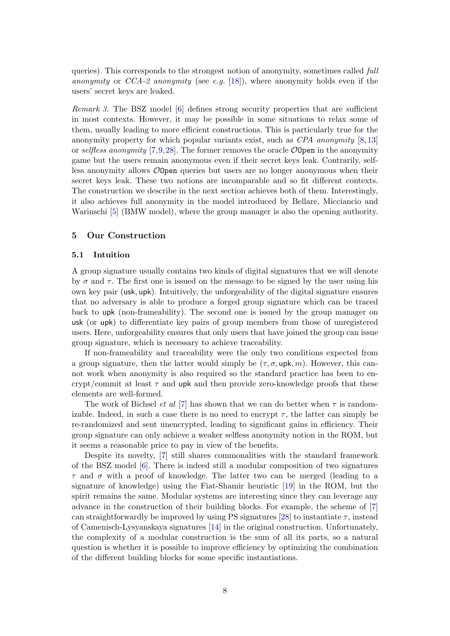queries). This corresponds to the strongest notion of anonymity, sometimes called *full* anonymity or CCA-2 anonymity (see e.g. [\[18\]](#page-14-9)), where anonymity holds even if the users' secret keys are leaked.

<span id="page-7-1"></span>Remark 3. The BSZ model [\[6\]](#page-14-2) defines strong security properties that are sufficient in most contexts. However, it may be possible in some situations to relax some of them, usually leading to more efficient constructions. This is particularly true for the anonymity property for which popular variants exist, such as CPA anonymity [\[8,](#page-14-15) [13\]](#page-14-16) or selfless anonymity [\[7,](#page-14-5)[9,](#page-14-17)[28\]](#page-14-7). The former removes the oracle  $\mathcal{O}$ Open in the anonymity game but the users remain anonymous even if their secret keys leak. Contrarily, selfless anonymity allows OOpen queries but users are no longer anonymous when their secret keys leak. These two notions are incomparable and so fit different contexts. The construction we describe in the next section achieves both of them. Interestingly, it also achieves full anonymity in the model introduced by Bellare, Micciancio and Warinschi [\[5\]](#page-14-1) (BMW model), where the group manager is also the opening authority.

#### <span id="page-7-0"></span>5 Our Construction

#### 5.1 Intuition

A group signature usually contains two kinds of digital signatures that we will denote by  $\sigma$  and  $\tau$ . The first one is issued on the message to be signed by the user using his own key pair (usk, upk). Intuitively, the unforgeability of the digital signature ensures that no adversary is able to produce a forged group signature which can be traced back to upk (non-frameability). The second one is issued by the group manager on usk (or upk) to differentiate key pairs of group members from those of unregistered users. Here, unforgeability ensures that only users that have joined the group can issue group signature, which is necessary to achieve traceability.

If non-frameability and traceability were the only two conditions expected from a group signature, then the latter would simply be  $(\tau, \sigma, \text{upk}, m)$ . However, this cannot work when anonymity is also required so the standard practice has been to encrypt/commit at least  $\tau$  and upk and then provide zero-knowledge proofs that these elements are well-formed.

The work of Bichsel et al [\[7\]](#page-14-5) has shown that we can do better when  $\tau$  is randomizable. Indeed, in such a case there is no need to encrypt  $\tau$ , the latter can simply be re-randomized and sent unencrypted, leading to significant gains in efficiency. Their group signature can only achieve a weaker selfless anonymity notion in the ROM, but it seems a reasonable price to pay in view of the benefits.

Despite its novelty, [\[7\]](#page-14-5) still shares commonalities with the standard framework of the BSZ model [\[6\]](#page-14-2). There is indeed still a modular composition of two signatures  $\tau$  and  $\sigma$  with a proof of knowledge. The latter two can be merged (leading to a signature of knowledge) using the Fiat-Shamir heuristic [\[19\]](#page-14-18) in the ROM, but the spirit remains the same. Modular systems are interesting since they can leverage any advance in the construction of their building blocks. For example, the scheme of [\[7\]](#page-14-5) can straightforwardly be improved by using PS signatures [\[28\]](#page-14-7) to instantiate  $\tau$ , instead of Camenisch-Lysyanskaya signatures [\[14\]](#page-14-6) in the original construction. Unfortunately, the complexity of a modular construction is the sum of all its parts, so a natural question is whether it is possible to improve efficiency by optimizing the combination of the different building blocks for some specific instantiations.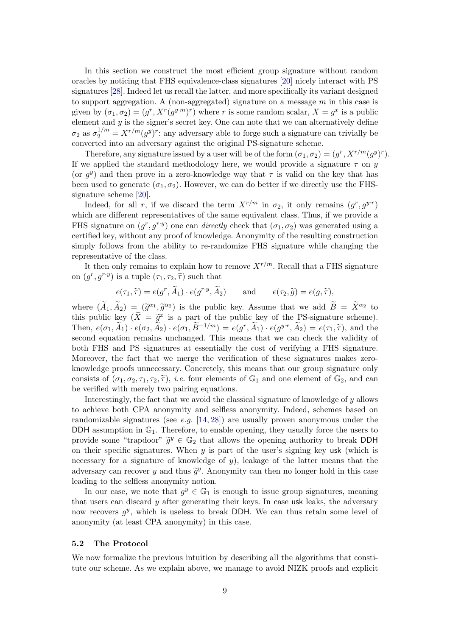In this section we construct the most efficient group signature without random oracles by noticing that FHS equivalence-class signatures [\[20\]](#page-14-8) nicely interact with PS signatures [\[28\]](#page-14-7). Indeed let us recall the latter, and more specifically its variant designed to support aggregation. A (non-aggregated) signature on a message  $m$  in this case is given by  $(\sigma_1, \sigma_2) = (g^r, X^r(g^{y \cdot m})^r)$  where r is some random scalar,  $X = g^x$  is a public element and  $y$  is the signer's secret key. One can note that we can alternatively define  $\sigma_2$  as  $\sigma_2^{1/m} = X^{r/m}(g^y)^r$ : any adversary able to forge such a signature can trivially be converted into an adversary against the original PS-signature scheme.

Therefore, any signature issued by a user will be of the form  $(\sigma_1, \sigma_2) = (g^r, X^{r/m}(g^y)^r)$ . If we applied the standard methodology here, we would provide a signature  $\tau$  on y (or  $g^{y}$ ) and then prove in a zero-knowledge way that  $\tau$  is valid on the key that has been used to generate  $(\sigma_1, \sigma_2)$ . However, we can do better if we directly use the FHSsignature scheme [\[20\]](#page-14-8).

Indeed, for all r, if we discard the term  $X^{r/m}$  in  $\sigma_2$ , it only remains  $(g^r, g^{y \cdot r})$ which are different representatives of the same equivalent class. Thus, if we provide a FHS signature on  $(g^r, g^{r \cdot y})$  one can directly check that  $(\sigma_1, \sigma_2)$  was generated using a certified key, without any proof of knowledge. Anonymity of the resulting construction simply follows from the ability to re-randomize FHS signature while changing the representative of the class.

It then only remains to explain how to remove  $X^{r/m}$ . Recall that a FHS signature on  $(g^r, g^{r \cdot y})$  is a tuple  $(\tau_1, \tau_2, \tilde{\tau})$  such that

$$
e(\tau_1, \widetilde{\tau}) = e(g^r, \widetilde{A}_1) \cdot e(g^{r \cdot y}, \widetilde{A}_2) \quad \text{and} \quad e(\tau_2, \widetilde{g}) = e(g, \widetilde{\tau}),
$$

where  $(\tilde{A}_1, \tilde{A}_2) = (\tilde{g}^{\alpha_1}, \tilde{g}^{\alpha_2})$  is the public key. Assume that we add  $\tilde{B} = \tilde{X}^{\alpha_2}$  to this public key.  $(\tilde{X} - \tilde{z}^x)$  is a part of the public key of the PS gignature scheme) this public key  $(\tilde{X} = \tilde{g}^x)$  is a part of the public key of the PS-signature scheme). Then,  $e(\sigma_1, \tilde{A}_1) \cdot e(\sigma_2, \tilde{A}_2) \cdot e(\sigma_1, \tilde{B}^{-1/m}) = e(g^r, \tilde{A}_1) \cdot e(g^{y \cdot r}, \tilde{A}_2) = e(\tau_1, \tilde{\tau})$ , and the second equation remains unchanged. This means that we can check the validity of both FHS and PS signatures at essentially the cost of verifying a FHS signature. Moreover, the fact that we merge the verification of these signatures makes zeroknowledge proofs unnecessary. Concretely, this means that our group signature only consists of  $(\sigma_1, \sigma_2, \tau_1, \tau_2, \tilde{\tau})$ , *i.e.* four elements of  $\mathbb{G}_1$  and one element of  $\mathbb{G}_2$ , and can be verified with merely two pairing equations.

Interestingly, the fact that we avoid the classical signature of knowledge of y allows to achieve both CPA anonymity and selfless anonymity. Indeed, schemes based on randomizable signatures (see  $e.g.$  [\[14,](#page-14-6) [28\]](#page-14-7)) are usually proven anonymous under the DDH assumption in  $\mathbb{G}_1$ . Therefore, to enable opening, they usually force the users to provide some "trapdoor"  $\tilde{g}^y \in \mathbb{G}_2$  that allows the opening authority to break DDH on their groeific gignatures. When *u* is part of the user's gigning levy use (which is on their specific signatures. When  $y$  is part of the user's signing key usk (which is necessary for a signature of knowledge of  $y$ ), leakage of the latter means that the adversary can recover y and thus  $\tilde{g}^y$ . Anonymity can then no longer hold in this case leading to the selfless anonymity notion.

In our case, we note that  $g^y \in \mathbb{G}_1$  is enough to issue group signatures, meaning that users can discard  $y$  after generating their keys. In case usk leaks, the adversary now recovers  $g<sup>y</sup>$ , which is useless to break DDH. We can thus retain some level of anonymity (at least CPA anonymity) in this case.

#### 5.2 The Protocol

We now formalize the previous intuition by describing all the algorithms that constitute our scheme. As we explain above, we manage to avoid NIZK proofs and explicit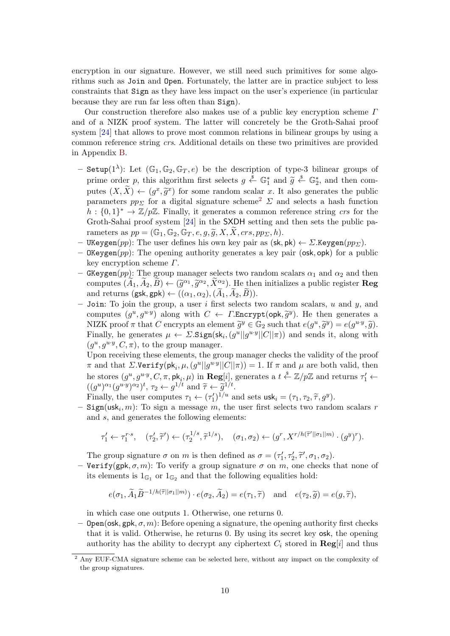encryption in our signature. However, we still need such primitives for some algorithms such as Join and Open. Fortunately, the latter are in practice subject to less constraints that Sign as they have less impact on the user's experience (in particular because they are run far less often than Sign).

Our construction therefore also makes use of a public key encryption scheme  $\Gamma$ and of a NIZK proof system. The latter will concretely be the Groth-Sahai proof system [\[24\]](#page-14-3) that allows to prove most common relations in bilinear groups by using a common reference string crs. Additional details on these two primitives are provided in Appendix [B.](#page-20-0)

- Setup(1<sup> $\lambda$ </sup>): Let  $(\mathbb{G}_1, \mathbb{G}_2, \mathbb{G}_T, e)$  be the description of type-3 bilinear groups of prime order p, this algorithm first selects  $g \stackrel{*}{\leftarrow} \mathbb{G}_1^*$  and  $\widetilde{g} \stackrel{*}{\leftarrow} \mathbb{G}_2^*$ , and then computes  $(X, \tilde{X}) \leftarrow (g^x, \tilde{g}^x)$  for some random scalar x. It also generates the public<br>parameters are for a disjital signature scheme<sup>2</sup>.  $\Gamma$  and selects a hack function parameters  $pp_{\Sigma}$  for a digital signature scheme<sup>[2](#page-9-0)</sup>  $\Sigma$  and selects a hash function  $h: \{0,1\}^* \to \mathbb{Z}/p\mathbb{Z}$ . Finally, it generates a common reference string crs for the Groth-Sahai proof system [\[24\]](#page-14-3) in the SXDH setting and then sets the public parameters as  $pp = (\mathbb{G}_1, \mathbb{G}_2, \mathbb{G}_T, e, g, \widetilde{g}, X, X, crs, pp_{\Sigma}, h).$
- UKeygen(pp): The user defines his own key pair as  $(\mathsf{sk}, \mathsf{pk}) \leftarrow \Sigma$ .Keygen(pp<sub> $\Sigma$ </sub>).
- OKeygen $(pp)$ : The opening authority generates a key pair (osk, opk) for a public key encryption scheme  $\Gamma$ .
- GKeygen(pp): The group manager selects two random scalars  $\alpha_1$  and  $\alpha_2$  and then computes  $(\tilde{A}_1, \tilde{A}_2, \tilde{B}) \leftarrow (\tilde{g}^{\alpha_1}, \tilde{g}^{\alpha_2}, \tilde{X}^{\alpha_2})$ . He then initializes a public register **Reg**<br>and network (get gab) ( $(\alpha_1, \alpha_2)$ ) ( $\tilde{A}$ ,  $\tilde{A}$ )) and returns (gsk, gpk)  $\leftarrow ((\alpha_1, \alpha_2), (\tilde{A}_1, \tilde{A}_2, \tilde{B}))$ .
- Join: To join the group, a user i first selects two random scalars, u and y, and computes  $(g^u, g^{u,y})$  along with  $C \leftarrow \Gamma$ . Encrypt(opk,  $\tilde{g}^y$ ). He then generates a<br>NIZK proof  $\pi$  that  $C$  encrypts an element  $\tilde{g}^y \in \mathbb{C}$  such that  $g(g^u, \tilde{g}^y) = g(g^{u,y}, \tilde{g})$ NIZK proof  $\pi$  that C encrypts an element  $\tilde{g}^y \in \mathbb{G}_2$  such that  $e(g^u, \tilde{g}^y) = e(g^u, \tilde{g})$ .<br>Finally, he generates  $u \in \Sigma$  Sign(ck,  $(g^u||g^u||g||_{\infty})$ ) and sends it, along with Finally, he generates  $\mu \leftarrow \Sigma \text{.Sign}(\mathsf{sk}_i, (g^u||g^{u \cdot y}||C||\pi))$  and sends it, along with  $(g^u, g^{u \cdot y}, C, \pi)$ , to the group manager.

Upon receiving these elements, the group manager checks the validity of the proof π and that  $\Sigma$ .Verify(pk<sub>i</sub>,  $\mu$ ,  $(g^u||g^{u \cdot y}||C||\pi$ )) = 1. If π and  $\mu$  are both valid, then he stores  $(g^u, g^{u \cdot y}, C, \pi, \mathsf{pk}_i, \mu)$  in  $\mathbf{Reg}[i]$ , generates a  $t \stackrel{\$}{\leftarrow} \mathbb{Z}/p\mathbb{Z}$  and returns  $\tau_1' \leftarrow$  $((g^u)^\alpha (g^{u\cdot y})^\alpha)^t, \tau_2 \leftarrow g^{1/t}$  and  $\widetilde{\tau} \leftarrow \widetilde{g}^{1/t}$ .<br>Finally, the user computer  $\tau \leftarrow (\tau')^{1/u}$ .

Finally, the user computes  $\tau_1 \leftarrow (\tau_1')^{1/u}$  and sets  $\mathsf{usk}_i = (\tau_1, \tau_2, \tilde{\tau}, g^y)$ .<br>Signalized map To sign a massage metho user first selecte two pander

 $-$  Sign(usk<sub>i</sub>, m): To sign a message m, the user first selects two random scalars r and s, and generates the following elements:

$$
\tau_1' \leftarrow \tau_1^{r \cdot s}, \quad (\tau_2', \widetilde{\tau}') \leftarrow (\tau_2^{1/s}, \widetilde{\tau}^{1/s}), \quad (\sigma_1, \sigma_2) \leftarrow (g^r, X^{r/h(\widetilde{\tau}' || \sigma_1 || m)} \cdot (g^y)^r).
$$

The group signature  $\sigma$  on m is then defined as  $\sigma = (\tau_1', \tau_2', \tilde{\tau}', \sigma_1, \sigma_2)$ .<br>Morify (gpk  $\sigma$  m): To verify a group signature  $\sigma$  on m, one shocks is

– Verify(gpk,  $\sigma$ , m): To verify a group signature  $\sigma$  on m, one checks that none of its elements is  $1_{\mathbb{G}_1}$  or  $1_{\mathbb{G}_2}$  and that the following equalities hold:

$$
e(\sigma_1, \widetilde{A}_1 \widetilde{B}^{-1/h(\widetilde{\tau}||\sigma_1||m)}) \cdot e(\sigma_2, \widetilde{A}_2) = e(\tau_1, \widetilde{\tau}) \text{ and } e(\tau_2, \widetilde{g}) = e(g, \widetilde{\tau}),
$$

in which case one outputs 1. Otherwise, one returns 0.

– Open(osk, gpk,  $\sigma$ , m): Before opening a signature, the opening authority first checks that it is valid. Otherwise, he returns 0. By using its secret key osk, the opening authority has the ability to decrypt any ciphertext  $C_i$  stored in  $\text{Reg}[i]$  and thus

<span id="page-9-0"></span><sup>&</sup>lt;sup>2</sup> Any EUF-CMA signature scheme can be selected here, without any impact on the complexity of the group signatures.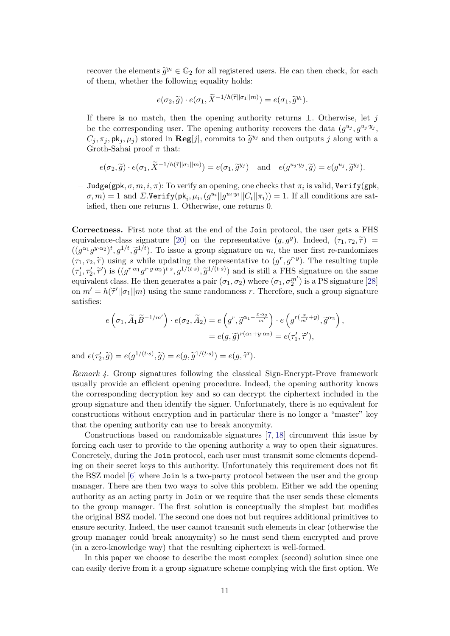recover the elements  $\tilde{g}^{y_i} \in \mathbb{G}_2$  for all registered users. He can then check, for each of them, whether the following equality holds: of them, whether the following equality holds:

$$
e(\sigma_2, \widetilde{g}) \cdot e(\sigma_1, \widetilde{X}^{-1/h(\widetilde{\tau}||\sigma_1||m)}) = e(\sigma_1, \widetilde{g}^{y_i}).
$$

If there is no match, then the opening authority returns  $\perp$ . Otherwise, let j be the corresponding user. The opening authority recovers the data  $(g^{u_j}, g^{u_j \cdot y_j},$  $C_j$ ,  $\pi_j$ ,  $\mathsf{pk}_j$ ,  $\mu_j$ ) stored in  $\mathbf{Reg}[j]$ , commits to  $\widetilde{g}^{y_j}$  and then outputs j along with a Croth Sobej proof  $\pi$  that: Groth-Sahai proof  $\pi$  that:

$$
e(\sigma_2, \widetilde{g}) \cdot e(\sigma_1, \widetilde{X}^{-1/h(\widetilde{\tau}||\sigma_1||m)}) = e(\sigma_1, \widetilde{g}^{y_j})
$$
 and  $e(g^{u_j \cdot y_j}, \widetilde{g}) = e(g^{u_j}, \widetilde{g}^{y_j}).$ 

 $-$  Judge(gpk,  $\sigma, m, i, \pi$ ): To verify an opening, one checks that  $\pi_i$  is valid, <code>Verify(gpk,</code>  $(\sigma, m) = 1$  and  $\Sigma$ .Verify $(\mathsf{pk}_i, \mu_i, (g^{u_i}||g^{u_i \cdot y_i}||C_i||\pi_i)) = 1$ . If all conditions are satisfied, then one returns 1. Otherwise, one returns 0.

Correctness. First note that at the end of the Join protocol, the user gets a FHS equivalence-class signature [\[20\]](#page-14-8) on the representative  $(g, g^y)$ . Indeed,  $(\tau_1, \tau_2, \tilde{\tau}) =$ <br> $((g^{\alpha_1}, g^y, \alpha_2) t, g^{\alpha_1}(t), \tau_2)$  issues a group signature on m, the user first re-representation  $((g^{\alpha_1}g^{y \cdot \alpha_2})^t, g^{1/t}, \tilde{g}^{1/t})$ . To issue a group signature on m, the user first re-randomizes  $(\tau_1, \tau_2, \tilde{\tau})$  using s while updating the representative to  $(g^r, g^{r,y})$ . The resulting tuple  $(\tau', \tau', \tilde{\tau}')$  is  $((\tau^r \alpha_1, \tau^r y \alpha_2)t^s, \alpha_1 l(t,s))$  and is still a EHS signature on the same  $(\tau_1', \tau_2', \tilde{\tau}')$  is  $((g^{r \cdot \alpha_1} g^{r \cdot y \cdot \alpha_2})^{t \cdot s}, g^{1/(t \cdot s)}, \tilde{g}^{1/(t \cdot s)})$  and is still a FHS signature on the same<br>conjugator elecce He than concretes a pair  $(\tau, \tau)$  where  $(\tau, \tau^{m'})$  is a PS signature [28] equivalent class. He then generates a pair  $(\sigma_1, \sigma_2)$  where  $(\sigma_1, \sigma_2^{m'})$  is a PS signature [\[28\]](#page-14-7) on  $m' = h(\tilde{\tau}'||\sigma_1||m)$  using the same randomness r. Therefore, such a group signature satisfies:

$$
e\left(\sigma_1, \widetilde{A}_1 \widetilde{B}^{-1/m'}\right) \cdot e(\sigma_2, \widetilde{A}_2) = e\left(g^r, \widetilde{g}^{\alpha_1 - \frac{x \cdot \alpha_2}{m'}}\right) \cdot e\left(g^{r\left(\frac{x}{m'} + y\right)}, \widetilde{g}^{\alpha_2}\right),
$$
  

$$
= e(g, \widetilde{g})^{r(\alpha_1 + y \cdot \alpha_2)} = e(\tau'_1, \widetilde{\tau}'),
$$

and  $e(\tau'_2, \tilde{g}) = e(g^{1/(t \cdot s)}, \tilde{g}) = e(g, \tilde{g}^{1/(t \cdot s)}) = e(g, \tilde{\tau}').$ 

<span id="page-10-0"></span>Remark 4. Group signatures following the classical Sign-Encrypt-Prove framework usually provide an efficient opening procedure. Indeed, the opening authority knows the corresponding decryption key and so can decrypt the ciphertext included in the group signature and then identify the signer. Unfortunately, there is no equivalent for constructions without encryption and in particular there is no longer a "master" key that the opening authority can use to break anonymity.

Constructions based on randomizable signatures [\[7,](#page-14-5) [18\]](#page-14-9) circumvent this issue by forcing each user to provide to the opening authority a way to open their signatures. Concretely, during the Join protocol, each user must transmit some elements depending on their secret keys to this authority. Unfortunately this requirement does not fit the BSZ model [\[6\]](#page-14-2) where Join is a two-party protocol between the user and the group manager. There are then two ways to solve this problem. Either we add the opening authority as an acting party in Join or we require that the user sends these elements to the group manager. The first solution is conceptually the simplest but modifies the original BSZ model. The second one does not but requires additional primitives to ensure security. Indeed, the user cannot transmit such elements in clear (otherwise the group manager could break anonymity) so he must send them encrypted and prove (in a zero-knowledge way) that the resulting ciphertext is well-formed.

In this paper we choose to describe the most complex (second) solution since one can easily derive from it a group signature scheme complying with the first option. We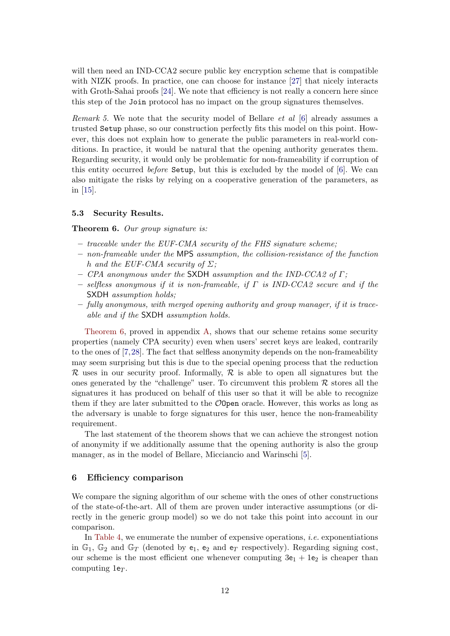will then need an IND-CCA2 secure public key encryption scheme that is compatible with NIZK proofs. In practice, one can choose for instance [\[27\]](#page-14-19) that nicely interacts with Groth-Sahai proofs [\[24\]](#page-14-3). We note that efficiency is not really a concern here since this step of the Join protocol has no impact on the group signatures themselves.

Remark 5. We note that the security model of Bellare et al [\[6\]](#page-14-2) already assumes a trusted Setup phase, so our construction perfectly fits this model on this point. However, this does not explain how to generate the public parameters in real-world conditions. In practice, it would be natural that the opening authority generates them. Regarding security, it would only be problematic for non-frameability if corruption of this entity occurred before Setup, but this is excluded by the model of [\[6\]](#page-14-2). We can also mitigate the risks by relying on a cooperative generation of the parameters, as in [\[15\]](#page-14-20).

#### 5.3 Security Results.

<span id="page-11-1"></span>Theorem 6. Our group signature is:

- traceable under the EUF-CMA security of the FHS signature scheme;
- non-frameable under the MPS assumption, the collision-resistance of the function h and the EUF-CMA security of  $\Sigma$ ;
- CPA anonymous under the SXDH assumption and the IND-CCA2 of Γ;
- selfless anonymous if it is non-frameable, if  $\Gamma$  is IND-CCA2 secure and if the SXDH assumption holds;
- fully anonymous, with merged opening authority and group manager, if it is traceable and if the SXDH assumption holds.

[Theorem 6,](#page-11-1) proved in appendix [A,](#page-14-12) shows that our scheme retains some security properties (namely CPA security) even when users' secret keys are leaked, contrarily to the ones of [\[7,](#page-14-5)[28\]](#page-14-7). The fact that selfless anonymity depends on the non-frameability may seem surprising but this is due to the special opening process that the reduction  $\mathcal R$  uses in our security proof. Informally,  $\mathcal R$  is able to open all signatures but the ones generated by the "challenge" user. To circumvent this problem  $R$  stores all the signatures it has produced on behalf of this user so that it will be able to recognize them if they are later submitted to the  $\mathcal{O}$  ppen oracle. However, this works as long as the adversary is unable to forge signatures for this user, hence the non-frameability requirement.

The last statement of the theorem shows that we can achieve the strongest notion of anonymity if we additionally assume that the opening authority is also the group manager, as in the model of Bellare, Micciancio and Warinschi [\[5\]](#page-14-1).

#### <span id="page-11-0"></span>6 Efficiency comparison

We compare the signing algorithm of our scheme with the ones of other constructions of the state-of-the-art. All of them are proven under interactive assumptions (or directly in the generic group model) so we do not take this point into account in our comparison.

In [Table 4,](#page-13-2) we enumerate the number of expensive operations, *i.e.* exponentiations in  $\mathbb{G}_1$ ,  $\mathbb{G}_2$  and  $\mathbb{G}_T$  (denoted by  $e_1$ ,  $e_2$  and  $e_T$  respectively). Regarding signing cost, our scheme is the most efficient one whenever computing  $3e_1 + 1e_2$  is cheaper than computing  $1e_T$ .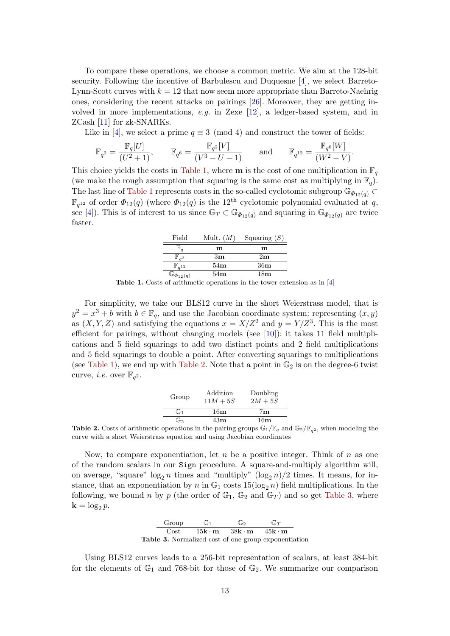To compare these operations, we choose a common metric. We aim at the 128-bit security. Following the incentive of Barbulescu and Duquesne [\[4\]](#page-14-21), we select Barreto-Lynn-Scott curves with  $k = 12$  that now seem more appropriate than Barreto-Naehrig ones, considering the recent attacks on pairings [\[26\]](#page-14-22). Moreover, they are getting involved in more implementations, e.g. in Zexe [\[12\]](#page-14-23), a ledger-based system, and in ZCash [\[11\]](#page-14-24) for zk-SNARKs.

Like in [\[4\]](#page-14-21), we select a prime  $q \equiv 3 \pmod{4}$  and construct the tower of fields:

$$
\mathbb{F}_{q^2} = \frac{\mathbb{F}_q[U]}{(U^2+1)}, \qquad \mathbb{F}_{q^6} = \frac{\mathbb{F}_{q^2}[V]}{(V^3-U-1)} \qquad \text{and} \qquad \mathbb{F}_{q^{12}} = \frac{\mathbb{F}_{q^6}[W]}{(W^2-V)}.
$$

This choice yields the costs in [Table 1,](#page-12-0) where **m** is the cost of one multiplication in  $\mathbb{F}_q$ (we make the rough assumption that squaring is the same cost as multiplying in  $\mathbb{F}_q$ ). The last line of [Table 1](#page-12-0) represents costs in the so-called cyclotomic subgroup  $\mathbb{G}_{\Phi_{12}(q)}$  $\mathbb{F}_{q^{12}}$  of order  $\Phi_{12}(q)$  (where  $\Phi_{12}(q)$  is the 12<sup>th</sup> cyclotomic polynomial evaluated at q, see [\[4\]](#page-14-21)). This is of interest to us since  $\mathbb{G}_T \subset \mathbb{G}_{\Phi_{12}(q)}$  and squaring in  $\mathbb{G}_{\Phi_{12}(q)}$  are twice faster.

| Field                       | Mult. $(M)$    | Squaring $(S)$ |
|-----------------------------|----------------|----------------|
|                             | m              | m              |
| - 2                         | 3m             | 2m             |
| $\mathbb{F}_{a^{12}}$       | $54\mathrm{m}$ | 36m            |
| $\mathbb{G}_{\Phi_{12}(q)}$ | 54m            | $18\mathrm{m}$ |

<span id="page-12-0"></span>Table 1. Costs of arithmetic operations in the tower extension as in [\[4\]](#page-14-21)

For simplicity, we take our BLS12 curve in the short Weierstrass model, that is  $y^2 = x^3 + b$  with  $b \in \mathbb{F}_q$ , and use the Jacobian coordinate system: representing  $(x, y)$ as  $(X, Y, Z)$  and satisfying the equations  $x = X/Z^2$  and  $y = Y/Z^3$ . This is the most efficient for pairings, without changing models (see [\[10\]](#page-14-25)): it takes 11 field multiplications and 5 field squarings to add two distinct points and 2 field multiplications and 5 field squarings to double a point. After converting squarings to multiplications (see [Table 1\)](#page-12-0), we end up with [Table 2.](#page-12-1) Note that a point in  $\mathbb{G}_2$  is on the degree-6 twist curve, *i.e.* over  $\mathbb{F}_{q^2}$ .

| Group          | Addition<br>$11M+5S$ | Doubling<br>$2M+5S$ |
|----------------|----------------------|---------------------|
| $\mathbb{G}_1$ | 16m                  | 7m                  |
| Go             | 43m                  | 16m                 |

<span id="page-12-1"></span>**Table 2.** Costs of arithmetic operations in the pairing groups  $\mathbb{G}_1/\mathbb{F}_q$  and  $\mathbb{G}_2/\mathbb{F}_{q^2}$ , when modeling the curve with a short Weierstrass equation and using Jacobian coordinates

Now, to compare exponentiation, let  $n$  be a positive integer. Think of  $n$  as one of the random scalars in our Sign procedure. A square-and-multiply algorithm will, on average, "square"  $\log_2 n$  times and "multiply"  $(\log_2 n)/2$  times. It means, for instance, that an exponentiation by n in  $\mathbb{G}_1$  costs 15(log<sub>2</sub> n) field multiplications. In the following, we bound n by p (the order of  $\mathbb{G}_1$ ,  $\mathbb{G}_2$  and  $\mathbb{G}_T$ ) and so get [Table 3,](#page-12-2) where  $\mathbf{k} = \log_2 p$ .

<span id="page-12-2"></span>Group  $\mathbb{G}_1$   $\mathbb{G}_2$   $\mathbb{G}_T$ Cost  $15\mathbf{k} \cdot \mathbf{m}$   $38\mathbf{k} \cdot \mathbf{m}$   $45\mathbf{k} \cdot \mathbf{m}$ Table 3. Normalized cost of one group exponentiation

Using BLS12 curves leads to a 256-bit representation of scalars, at least 384-bit for the elements of  $\mathbb{G}_1$  and 768-bit for those of  $\mathbb{G}_2$ . We summarize our comparison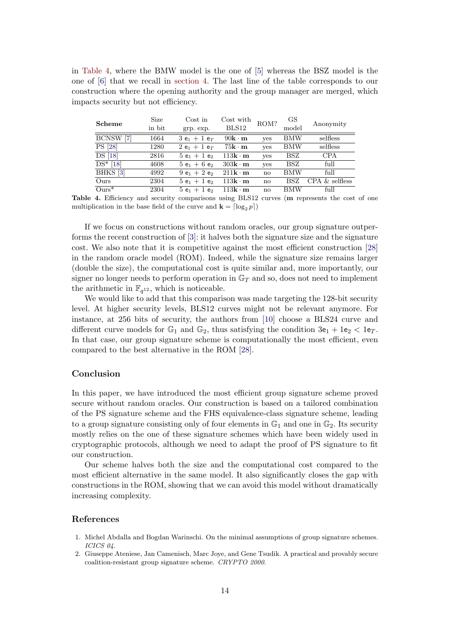in [Table 4,](#page-13-2) where the BMW model is the one of [\[5\]](#page-14-1) whereas the BSZ model is the one of [\[6\]](#page-14-2) that we recall in [section 4.](#page-5-0) The last line of the table corresponds to our construction where the opening authority and the group manager are merged, which impacts security but not efficiency.

| Scheme                     | Size<br>in bit | Cost in<br>grp. exp. | Cost with<br>BLS12             | ROM?                   | GS<br>model  | Anonymity        |
|----------------------------|----------------|----------------------|--------------------------------|------------------------|--------------|------------------|
| <b>BCNSW</b><br>[7]        | 1664           | $3e_1 + 1e_T$        | $90\mathbf{k}\cdot\mathbf{m}$  | yes                    | BMW          | selfless         |
| PS [28]                    | 1280           | $2e_1 + 1e_T$        | $75\mathbf{k}\cdot\mathbf{m}$  | yes                    | BMW          | selfless         |
| DS [18]                    | 2816           | $5e_1 + 1e_2$        | $113\mathbf{k}\cdot\mathbf{m}$ | <b>ves</b>             | $_{\rm BSZ}$ | <b>CPA</b>       |
| $DS*$ [18]                 | 4608           | $5e_1 + 6e_2$        | $303\mathbf{k}\cdot\mathbf{m}$ | <b>ves</b>             | $_{\rm BSZ}$ | full             |
| BHKS <sup>[3]</sup>        | 4992           | $9e_1 + 2e_2$        | $211\mathbf{k}\cdot\mathbf{m}$ | no                     | <b>BMW</b>   | full             |
| Ours                       | 2304           | $5e_1 + 1e_2$        | $113\mathbf{k}\cdot\mathbf{m}$ | $\mathbf{n}\mathbf{o}$ | BSZ          | $CPA &$ selfless |
| $\overline{\text{Ours}}^*$ | 2304           | $5e_1 + 1e_2$        | $113\mathbf{k}\cdot\mathbf{m}$ | no                     | <b>BMW</b>   | full             |

<span id="page-13-2"></span>Table 4. Efficiency and security comparisons using BLS12 curves (m represents the cost of one multiplication in the base field of the curve and  $\mathbf{k} = \lceil \log_2 p \rceil$ 

If we focus on constructions without random oracles, our group signature outperforms the recent construction of [\[3\]](#page-14-10): it halves both the signature size and the signature cost. We also note that it is competitive against the most efficient construction [\[28\]](#page-14-7) in the random oracle model (ROM). Indeed, while the signature size remains larger (double the size), the computational cost is quite similar and, more importantly, our signer no longer needs to perform operation in  $\mathbb{G}_T$  and so, does not need to implement the arithmetic in  $\mathbb{F}_{q^{12}}$ , which is noticeable.

We would like to add that this comparison was made targeting the 128-bit security level. At higher security levels, BLS12 curves might not be relevant anymore. For instance, at 256 bits of security, the authors from [\[10\]](#page-14-25) choose a BLS24 curve and different curve models for  $\mathbb{G}_1$  and  $\mathbb{G}_2$ , thus satisfying the condition  $3\mathsf{e}_1 + 1\mathsf{e}_2 < 1\mathsf{e}_T$ . In that case, our group signature scheme is computationally the most efficient, even compared to the best alternative in the ROM [\[28\]](#page-14-7).

# Conclusion

In this paper, we have introduced the most efficient group signature scheme proved secure without random oracles. Our construction is based on a tailored combination of the PS signature scheme and the FHS equivalence-class signature scheme, leading to a group signature consisting only of four elements in  $\mathbb{G}_1$  and one in  $\mathbb{G}_2$ . Its security mostly relies on the one of these signature schemes which have been widely used in cryptographic protocols, although we need to adapt the proof of PS signature to fit our construction.

Our scheme halves both the size and the computational cost compared to the most efficient alternative in the same model. It also significantly closes the gap with constructions in the ROM, showing that we can avoid this model without dramatically increasing complexity.

#### References

- <span id="page-13-1"></span>1. Michel Abdalla and Bogdan Warinschi. On the minimal assumptions of group signature schemes. ICICS 04.
- <span id="page-13-0"></span>2. Giuseppe Ateniese, Jan Camenisch, Marc Joye, and Gene Tsudik. A practical and provably secure coalition-resistant group signature scheme. CRYPTO 2000.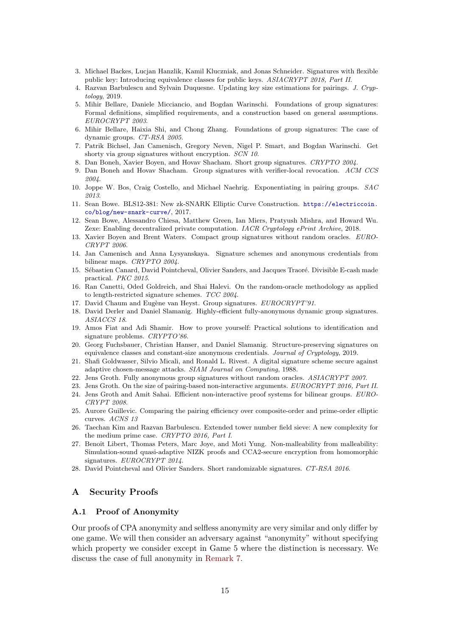- <span id="page-14-10"></span>3. Michael Backes, Lucjan Hanzlik, Kamil Kluczniak, and Jonas Schneider. Signatures with flexible public key: Introducing equivalence classes for public keys. ASIACRYPT 2018, Part II.
- <span id="page-14-21"></span>4. Razvan Barbulescu and Sylvain Duquesne. Updating key size estimations for pairings. J. Cryptology, 2019.
- <span id="page-14-1"></span>5. Mihir Bellare, Daniele Micciancio, and Bogdan Warinschi. Foundations of group signatures: Formal definitions, simplified requirements, and a construction based on general assumptions. EUROCRYPT 2003.
- <span id="page-14-2"></span>6. Mihir Bellare, Haixia Shi, and Chong Zhang. Foundations of group signatures: The case of dynamic groups. CT-RSA 2005.
- <span id="page-14-5"></span>7. Patrik Bichsel, Jan Camenisch, Gregory Neven, Nigel P. Smart, and Bogdan Warinschi. Get shorty via group signatures without encryption. SCN 10.
- <span id="page-14-15"></span>8. Dan Boneh, Xavier Boyen, and Hovav Shacham. Short group signatures. CRYPTO 2004.
- <span id="page-14-17"></span>9. Dan Boneh and Hovav Shacham. Group signatures with verifier-local revocation. ACM CCS 2004.
- <span id="page-14-25"></span>10. Joppe W. Bos, Craig Costello, and Michael Naehrig. Exponentiating in pairing groups. SAC 2013.
- <span id="page-14-24"></span>11. Sean Bowe. BLS12-381: New zk-SNARK Elliptic Curve Construction. [https://electriccoin.](https://electriccoin.co/blog/new-snark-curve/) [co/blog/new-snark-curve/](https://electriccoin.co/blog/new-snark-curve/), 2017.
- <span id="page-14-23"></span>12. Sean Bowe, Alessandro Chiesa, Matthew Green, Ian Miers, Pratyush Mishra, and Howard Wu. Zexe: Enabling decentralized private computation. *IACR Cryptology ePrint Archive*, 2018.
- <span id="page-14-16"></span>13. Xavier Boyen and Brent Waters. Compact group signatures without random oracles. EURO-CRYPT 2006.
- <span id="page-14-6"></span>14. Jan Camenisch and Anna Lysyanskaya. Signature schemes and anonymous credentials from bilinear maps. CRYPTO 2004.
- <span id="page-14-20"></span>15. Sébastien Canard, David Pointcheval, Olivier Sanders, and Jacques Traoré. Divisible E-cash made practical. PKC 2015.
- <span id="page-14-11"></span>16. Ran Canetti, Oded Goldreich, and Shai Halevi. On the random-oracle methodology as applied to length-restricted signature schemes. TCC 2004.
- <span id="page-14-0"></span>17. David Chaum and Eugène van Heyst. Group signatures. EUROCRYPT'91.
- <span id="page-14-9"></span>18. David Derler and Daniel Slamanig. Highly-efficient fully-anonymous dynamic group signatures. ASIACCS 18.
- <span id="page-14-18"></span>19. Amos Fiat and Adi Shamir. How to prove yourself: Practical solutions to identification and signature problems. CRYPTO'86.
- <span id="page-14-8"></span>20. Georg Fuchsbauer, Christian Hanser, and Daniel Slamanig. Structure-preserving signatures on equivalence classes and constant-size anonymous credentials. Journal of Cryptology, 2019.
- <span id="page-14-14"></span>21. Shafi Goldwasser, Silvio Micali, and Ronald L. Rivest. A digital signature scheme secure against adaptive chosen-message attacks. SIAM Journal on Computing, 1988.
- <span id="page-14-4"></span>22. Jens Groth. Fully anonymous group signatures without random oracles. ASIACRYPT 2007.
- 23. Jens Groth. On the size of pairing-based non-interactive arguments. EUROCRYPT 2016, Part II.
- <span id="page-14-3"></span>24. Jens Groth and Amit Sahai. Efficient non-interactive proof systems for bilinear groups. EURO-CRYPT 2008
- <span id="page-14-13"></span>25. Aurore Guillevic. Comparing the pairing efficiency over composite-order and prime-order elliptic curves. ACNS 13
- <span id="page-14-22"></span>26. Taechan Kim and Razvan Barbulescu. Extended tower number field sieve: A new complexity for the medium prime case. CRYPTO 2016, Part I.
- <span id="page-14-19"></span>27. Benoît Libert, Thomas Peters, Marc Joye, and Moti Yung. Non-malleability from malleability: Simulation-sound quasi-adaptive NIZK proofs and CCA2-secure encryption from homomorphic signatures. EUROCRYPT 2014.
- <span id="page-14-7"></span>28. David Pointcheval and Olivier Sanders. Short randomizable signatures. CT-RSA 2016.

# <span id="page-14-12"></span>A Security Proofs

# A.1 Proof of Anonymity

Our proofs of CPA anonymity and selfless anonymity are very similar and only differ by one game. We will then consider an adversary against "anonymity" without specifying which property we consider except in Game 5 where the distinction is necessary. We discuss the case of full anonymity in [Remark 7.](#page-16-0)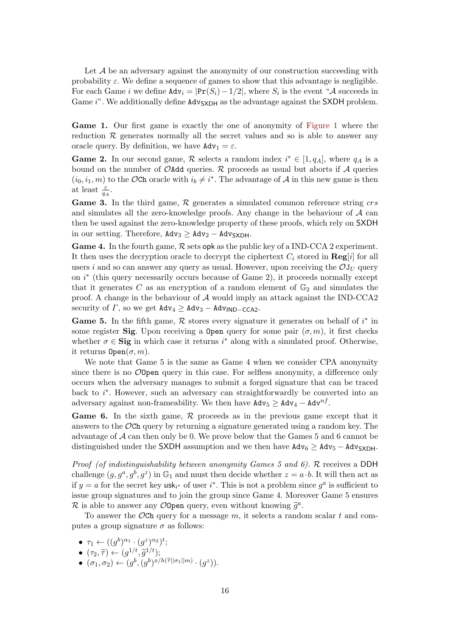Let  $A$  be an adversary against the anonymity of our construction succeeding with probability  $\varepsilon$ . We define a sequence of games to show that this advantage is negligible. For each Game i we define  $\text{Adv}_i = |\text{Pr}(S_i) - 1/2|$ , where  $S_i$  is the event "A succeeds in Game  $i^{\prime\prime}$ . We additionally define  $Adv_{S\mid X}$  as the advantage against the SXDH problem.

Game 1. Our first game is exactly the one of anonymity of [Figure 1](#page-6-0) where the reduction  $\mathcal R$  generates normally all the secret values and so is able to answer any oracle query. By definition, we have  $\text{Adv}_1 = \varepsilon$ .

**Game 2.** In our second game,  $\mathcal{R}$  selects a random index  $i^* \in [1, q_A]$ , where  $q_A$  is a bound on the number of OAdd queries.  $\mathcal R$  proceeds as usual but aborts if  $\mathcal A$  queries  $(i_0, i_1, m)$  to the OCh oracle with  $i_b \neq i^*$ . The advantage of A in this new game is then at least  $\frac{\varepsilon}{q_A}$ .

**Game 3.** In the third game,  $\mathcal{R}$  generates a simulated common reference string crs and simulates all the zero-knowledge proofs. Any change in the behaviour of  $A$  can then be used against the zero-knowledge property of these proofs, which rely on SXDH in our setting. Therefore,  $\text{Adv}_3 \geq \text{Adv}_2 - \text{Adv}_{\text{SXDH}}$ .

**Game 4.** In the fourth game,  $\mathcal{R}$  sets opk as the public key of a IND-CCA 2 experiment. It then uses the decryption oracle to decrypt the ciphertext  $C_i$  stored in  $\text{Reg}[i]$  for all users i and so can answer any query as usual. However, upon receiving the  $\mathcal{O}J_U$  query on  $i^*$  (this query necessarily occurs because of Game 2), it proceeds normally except that it generates  $C$  as an encryption of a random element of  $\mathbb{G}_2$  and simulates the proof. A change in the behaviour of  $A$  would imply an attack against the IND-CCA2 security of  $\Gamma$ , so we get  $\text{Adv}_4 \geq \text{Adv}_3 - \text{Adv}_{\text{IND}-\text{CCA2}}$ .

Game 5. In the fifth game,  $R$  stores every signature it generates on behalf of  $i^*$  in some register Sig. Upon receiving a Open query for some pair  $(\sigma, m)$ , it first checks whether  $\sigma \in \mathbf{Sig}$  in which case it returns i<sup>\*</sup> along with a simulated proof. Otherwise, it returns  $\text{Open}(\sigma, m)$ .

We note that Game 5 is the same as Game 4 when we consider CPA anonymity since there is no  $\mathcal{O}$  open query in this case. For selfless anonymity, a difference only occurs when the adversary manages to submit a forged signature that can be traced back to i<sup>\*</sup>. However, such an adversary can straightforwardly be converted into an adversary against non-frameability. We then have  $\text{Adv}_5 \geq \text{Adv}_4 - \text{Adv}^{nf}$ .

**Game 6.** In the sixth game,  $\mathcal{R}$  proceeds as in the previous game except that it answers to the  $\mathcal O$ Ch query by returning a signature generated using a random key. The advantage of  $\mathcal A$  can then only be 0. We prove below that the Games 5 and 6 cannot be distinguished under the SXDH assumption and we then have  $\text{Adv}_6 \ge \text{Adv}_5 - \text{Adv}_{SXDH}$ .

Proof (of indistinguishability between anonymity Games 5 and 6). R receives a DDH challenge  $(g, g^a, g^b, g^z)$  in  $\mathbb{G}_1$  and must then decide whether  $z = a \cdot b$ . It will then act as if  $y = a$  for the secret key usk<sub>i\*</sub> of user i<sup>\*</sup>. This is not a problem since  $g^a$  is sufficient to issue group signatures and to join the group since Game 4. Moreover Game 5 ensures R is able to answer any Open query, even without knowing  $\tilde{g}^a$ .<br>To answer the OCh query for a message m it selects a random

To answer the  $\mathcal O$ Ch query for a message  $m$ , it selects a random scalar  $t$  and computes a group signature  $\sigma$  as follows:

• 
$$
\tau_1 \leftarrow ((g^b)^{\alpha_1} \cdot (g^z)^{\alpha_2})^t;
$$

- $(\tau_2, \widetilde{\tau}) \leftarrow (g^{1/t}, \widetilde{g}^{1/t});$
- $\bullet \ \ (\sigma_1,\sigma_2)\leftarrow (g^b,(g^b)^{x/h(\widetilde{\tau}||\sigma_1||m)}\cdot(g^z)).$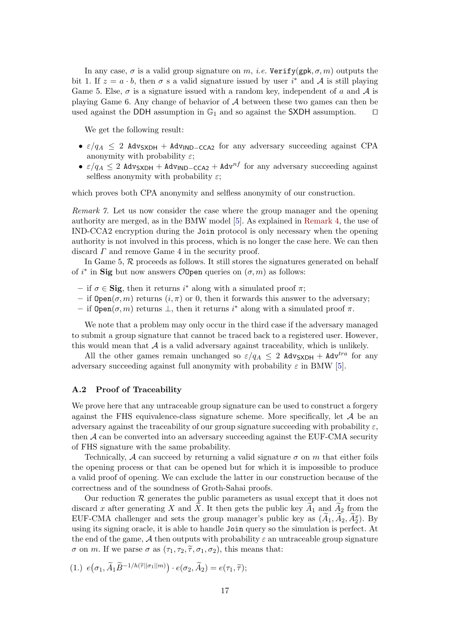In any case,  $\sigma$  is a valid group signature on m, *i.e.* Verify(gpk,  $\sigma$ , m) outputs the bit 1. If  $z = a \cdot b$ , then  $\sigma$  s a valid signature issued by user i<sup>\*</sup> and A is still playing Game 5. Else,  $\sigma$  is a signature issued with a random key, independent of a and A is playing Game 6. Any change of behavior of  $A$  between these two games can then be used against the DDH assumption in  $\mathbb{G}_1$  and so against the SXDH assumption.  $\square$ 

We get the following result:

- $\varepsilon/q_A \leq 2$  Adv<sub>SXDH</sub> + Adv<sub>IND−CCA2</sub> for any adversary succeeding against CPA anonymity with probability  $\varepsilon$ ;
- $\varepsilon/q_A \leq 2$  Adv<sub>SXDH</sub> + Adv<sub>IND</sub>–cca<sub>2</sub> + Adv<sup>nf</sup> for any adversary succeeding against selfless anonymity with probability  $\varepsilon$ ;

<span id="page-16-0"></span>which proves both CPA anonymity and selfless anonymity of our construction.

Remark 7. Let us now consider the case where the group manager and the opening authority are merged, as in the BMW model [\[5\]](#page-14-1). As explained in [Remark 4,](#page-10-0) the use of IND-CCA2 encryption during the Join protocol is only necessary when the opening authority is not involved in this process, which is no longer the case here. We can then discard  $\Gamma$  and remove Game 4 in the security proof.

In Game 5,  $\mathcal R$  proceeds as follows. It still stores the signatures generated on behalf of  $i^*$  in Sig but now answers  $\mathcal{O}$ Open queries on  $(\sigma, m)$  as follows:

- $-$  if  $σ ∈$  **Sig**, then it returns  $i^*$  along with a simulated proof  $π$ ;
- if  $Open(\sigma, m)$  returns  $(i, \pi)$  or 0, then it forwards this answer to the adversary;
- $-$  if 0pen( $\sigma$ , *m*) returns  $\bot$ , then it returns *i*<sup>\*</sup> along with a simulated proof π.

We note that a problem may only occur in the third case if the adversary managed to submit a group signature that cannot be traced back to a registered user. However, this would mean that  $A$  is a valid adversary against traceability, which is unlikely.

All the other games remain unchanged so  $\varepsilon/q_A \leq 2$  Adv<sub>SXDH</sub> + Adv<sup>tra</sup> for any adversary succeeding against full anonymity with probability  $\varepsilon$  in BMW [\[5\]](#page-14-1).

#### A.2 Proof of Traceability

We prove here that any untraceable group signature can be used to construct a forgery against the FHS equivalence-class signature scheme. More specifically, let  $A$  be an adversary against the traceability of our group signature succeeding with probability  $\varepsilon$ , then A can be converted into an adversary succeeding against the EUF-CMA security of FHS signature with the same probability.

Technically, A can succeed by returning a valid signature  $\sigma$  on m that either foils the opening process or that can be opened but for which it is impossible to produce a valid proof of opening. We can exclude the latter in our construction because of the correctness and of the soundness of Groth-Sahai proofs.

Our reduction  $\mathcal R$  generates the public parameters as usual except that it does not discard x after generating X and X. It then gets the public key  $A_1$  and  $A_2$  from the EUF-CMA challenger and sets the group manager's public key as  $(\tilde{A}_1, \tilde{A}_2, \tilde{A}_2^x)$ . By using its signing oracle, it is able to handle Join query so the simulation is perfect. At the end of the game, A then outputs with probability  $\varepsilon$  an untraceable group signature σ on m. If we parse σ as  $(τ_1, τ_2, *τ*, σ_1, σ_2)$ , this means that:

$$
(1.)\ \ e(\sigma_1, \widetilde{A}_1 \widetilde{B}^{-1/h(\widetilde{\tau}||\sigma_1||m)}) \cdot e(\sigma_2, \widetilde{A}_2) = e(\tau_1, \widetilde{\tau});
$$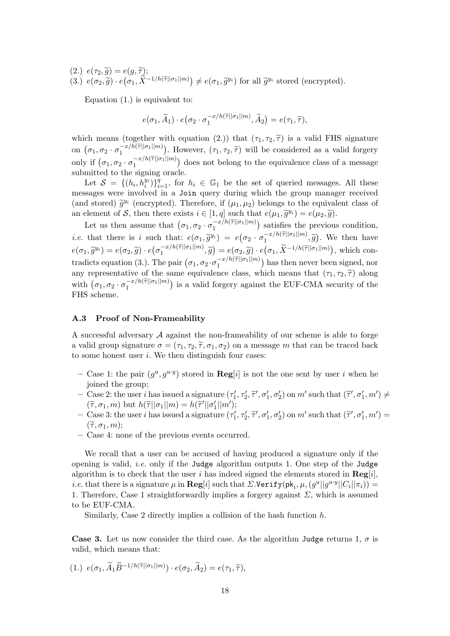(2.)  $e(\tau_2, \tilde{g}) = e(g, \tilde{\tau});$ <br>(3)  $e(\tau_2, \tilde{g}) = e(\tau_1, \tilde{\tau})$ (3.)  $e(\sigma_2, \tilde{g}) \cdot e(\sigma_1, \tilde{X}^{-1/h(\tilde{\tau}||\sigma_1||m)}) \neq e(\sigma_1, \tilde{g}^{y_i})$  for all  $\tilde{g}^{y_i}$  stored (encrypted).

Equation (1.) is equivalent to:

$$
e(\sigma_1, \widetilde{A}_1) \cdot e(\sigma_2 \cdot \sigma_1^{-x/h(\widetilde{\tau}||\sigma_1||m)}, \widetilde{A}_2) = e(\tau_1, \widetilde{\tau}),
$$

which means (together with equation (2.)) that  $(\tau_1, \tau_2, \tilde{\tau})$  is a valid FHS signature on  $(\sigma_1, \sigma_2 \cdot \sigma_1^{-x/h(\tilde{\tau}||\sigma_1||m)})$ . However,  $(\tau_1, \tau_2, \tilde{\tau})$  will be considered as a valid forgery only if  $(\sigma_1, \sigma_2 \cdot \sigma_1^{-x/h(\tilde{\tau}||\sigma_1||m)})$  does not belong to the equivalence class of a message submitted to the signing oracle.

Let  $S = \{(h_i, h_i^{y_i})\}_{i=1}^q$ , for  $h_i \in \mathbb{G}_1$  be the set of queried messages. All these messages were involved in a Join query during which the group manager received (and stored)  $\tilde{g}^{y_i}$  (encrypted). Therefore, if  $(\mu_1, \mu_2)$  belongs to the equivalent class of an element of S, then there exists  $i \in [1, q]$  such that  $e(\mu_1, \tilde{g}^{y_i}) = e(\mu_2, \tilde{g})$ .

Let us then assume that  $(\sigma_1, \sigma_2 \cdot \sigma_1^{-x/h(\tilde{\tau}||\sigma_1||m)})$  satisfies the previous condition, *i.e.* that there is *i* such that:  $e(\sigma_1, \tilde{g}^{y_i}) = e(\sigma_2 \cdot \sigma_1^{-x/h(\tilde{\tau}||\sigma_1||m)}, \tilde{g})$ . We then have  $e(\sigma_1, \tilde{g}^{y_i}) = e(\sigma_2, \tilde{g}) \cdot e(\sigma_1^{-x/h(\tilde{\tau}||\sigma_1||m)}, \tilde{g}) = e(\sigma_2, \tilde{g}) \cdot e(\sigma_1, \tilde{X}^{-1/h(\tilde{\tau}||\sigma_1||m)}),$  which contradicts equation (3.). The pair  $(\sigma_1, \sigma_2 \cdot \sigma_1^{-x/h(\tilde{\tau}||\sigma_1||m)})$  has then never been signed, nor any representative of the same equivalence class, which means that  $(\tau_1, \tau_2, \tilde{\tau})$  along with  $(\sigma_1, \sigma_2 \cdot \sigma_1^{-x/h(\tilde{\tau}||\sigma_1||m)})$  is a valid forgery against the EUF-CMA security of the FHS scheme.

# A.3 Proof of Non-Frameability

A successful adversary  $A$  against the non-frameability of our scheme is able to forge a valid group signature  $\sigma = (\tau_1, \tau_2, \tilde{\tau}, \sigma_1, \sigma_2)$  on a message m that can be traced back to some honest user  $i$ . We then distinguish four cases:

- Case 1: the pair  $(g^u, g^{u \cdot y})$  stored in  $\text{Reg}[i]$  is not the one sent by user i when he joined the group;
- Case 2: the user *i* has issued a signature  $(\tau'_1, \tau'_2, \tilde{\tau}', \sigma'_1, \sigma'_2)$  on m' such that  $(\tilde{\tau}', \sigma'_1, m') \neq (\tilde{\tau}_{\tilde{\tau}'} \tilde{\tau}_{\tilde{\tau}'} \tilde{\tau}'_{\tilde{\tau}'} \tilde{\tau}'_{\tilde{\tau}'} \tilde{\tau}'_{\tilde{\tau}'} \tilde{\tau}'_{\tilde{\tau}'} \tilde{\tau}'_{\tilde{\tau}'} \tilde{\tau}'_{\tilde$  $(\widetilde{\tau}, \sigma_1, m)$  but  $h(\widetilde{\tau}||\sigma_1||m) = h(\widetilde{\tau}'||\sigma'_1||m')$ ;<br>Case 3: the user i has issued a signature  $(\tau')$
- Case 3: the user *i* has issued a signature  $(\tau'_1, \tau'_2, \tilde{\tau}', \sigma'_1, \sigma'_2)$  on m' such that  $(\tilde{\tau}', \sigma'_1, m') = (\tilde{\tau}, \tau'_2, \tilde{\tau}'')$  $(\widetilde{\tau}, \sigma_1, m);$
- Case 4: none of the previous events occurred.

We recall that a user can be accused of having produced a signature only if the opening is valid, *i.e.* only if the Judge algorithm outputs 1. One step of the Judge algorithm is to check that the user i has indeed signed the elements stored in  $\mathbf{Reg}[i]$ , *i.e.* that there is a signature  $\mu$  in  $\textbf{Reg}[i]$  such that  $\Sigma$ . Verify( $\mathsf{pk}_i$ ,  $\mu$ ,  $(g^u||g^{u \cdot y}||C_i||\pi_i)$ ) = 1. Therefore, Case 1 straightforwardly implies a forgery against  $\Sigma$ , which is assumed to be EUF-CMA.

Similarly, Case 2 directly implies a collision of the hash function  $h$ .

**Case 3.** Let us now consider the third case. As the algorithm Judge returns 1,  $\sigma$  is valid, which means that:

$$
(1.)\ \ e(\sigma_1, \widetilde{A}_1 \widetilde{B}^{-1/h(\widetilde{\tau}||\sigma_1||m)}) \cdot e(\sigma_2, \widetilde{A}_2) = e(\tau_1, \widetilde{\tau}),
$$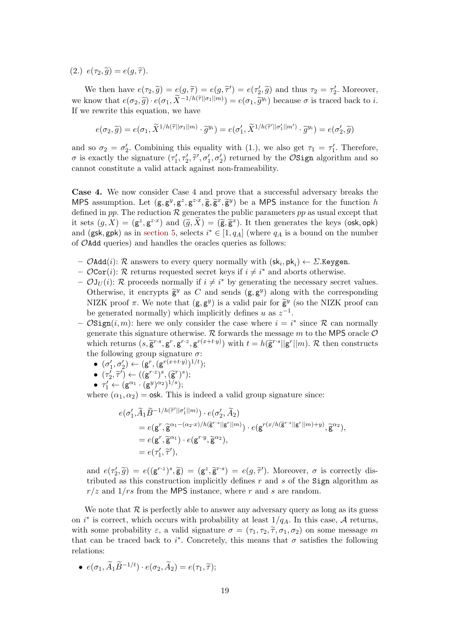(2.)  $e(\tau_2, \tilde{q}) = e(q, \tilde{\tau}).$ 

We then have  $e(\tau_2, \tilde{g}) = e(g, \tilde{\tau}) = e(\tau_2, \tilde{g})$  and thus  $\tau_2 = \tau_2'$ . Moreover, we know that  $e(\sigma_2, \tilde{g}) \cdot e(\sigma_1, \tilde{X}^{-1/h(\tilde{\tau}||\sigma_1||m)}) = e(\sigma_1, \tilde{g}^{y_i})$  because  $\sigma$  is traced back to *i*.<br>If we rewrite this countion, we have If we rewrite this equation, we have

$$
e(\sigma_2, \widetilde{g}) = e(\sigma_1, \widetilde{X}^{1/h(\widetilde{\tau}||\sigma_1||m)} \cdot \widetilde{g}^{y_i}) = e(\sigma'_1, \widetilde{X}^{1/h(\widetilde{\tau}'||\sigma'_1||m')} \cdot \widetilde{g}^{y_i}) = e(\sigma'_2, \widetilde{g})
$$

and so  $\sigma_2 = \sigma_2'$ . Combining this equality with (1.), we also get  $\tau_1 = \tau_1'$ . Therefore,  $\sigma$  is exactly the signature  $(\tau_1', \tau_2', \tilde{\tau}', \sigma_1', \sigma_2')$  returned by the OSign algorithm and so cannot constitute a valid attack against non-frameability.

Case 4. We now consider Case 4 and prove that a successful adversary breaks the MPS assumption. Let  $(g, g^y, g^z, g^{z x}, \tilde{g}, \tilde{g}^x, \tilde{g}^y)$  be a MPS instance for the function here defined in an The reduction  $\mathcal{R}$  generates the public parameters as a waveler that defined in pp. The reduction  $\mathcal R$  generates the public parameters pp as usual except that it sets  $(g, X) = (\mathbf{g}^z, \mathbf{g}^{z \cdot x})$  and  $(\widetilde{g}, \widetilde{X}) = (\widetilde{\mathbf{g}}, \widetilde{\mathbf{g}}^x)$ . It then generates the keys (osk, opk) and (gsk, gpk) as in [section 5,](#page-7-0) selects  $i^* \in [1, q_A]$  (where  $q_A$  is a bound on the number of OAdd queries) and handles the oracles queries as follows:

- $-$  OAdd(*i*):  $R$  answers to every query normally with  $(\mathsf{sk}_i, \mathsf{pk}_i) \leftarrow \Sigma$ .Keygen.
- $-$  OCor(i): R returns requested secret keys if  $i \neq i^*$  and aborts otherwise.
- $\mathcal{O}J_U(i)$ : R proceeds normally if  $i \neq i^*$  by generating the necessary secret values. Otherwise, it encrypts  $\tilde{g}^y$  as C and sends  $(g, g^y)$  along with the corresponding<br>NIZK proof  $\pi$ , We note that  $(g, g^y)$  is a valid pair for  $\tilde{\pi}^y$  (so the NIZK proof gap NIZK proof  $\pi$ . We note that  $(g, g^y)$  is a valid pair for  $\tilde{g}^y$  (so the NIZK proof can<br>be generated normally) which implicitly defines  $y$  as  $z^{-1}$ . be generated normally) which implicitly defines u as  $z^{-1}$ .
- $\mathcal{O}$ Sign $(i, m)$ : here we only consider the case where  $i = i^*$  since  $\mathcal R$  can normally generate this signature otherwise.  $R$  forwards the message m to the MPS oracle  $\mathcal O$ which returns  $(s, \tilde{g}^{r,s}, g^r, g^{r,z}, g^{r(x+t\cdot y)})$  with  $t = h(\tilde{g}^{r,s}||g^r||m)$ . R then constructs the following group signature  $\sigma$ :
	- $(\sigma'_1, \sigma'_2) \leftarrow (g^r, (g^{r(x+t \cdot y)})^{1/t});$
	- $\bullet$   $(\tau'_2, \tilde{\tau}') \leftarrow ((g^{r \cdot z})^s, (\tilde{g}^r)^s);$ <br>  $\bullet$   $\tau' \leftarrow (\sigma_{11}^{\alpha_1} (\sigma_{12}^{\alpha_2} \sigma_{13}^{\alpha_3})^{\alpha_2})^{\alpha_3}$

$$
\bullet \ \tau_1' \leftarrow (\mathsf{g}^{\alpha_1} \cdot (\mathsf{g}^y)^{\alpha_2})^{1/s});
$$

where  $(\alpha_1, \alpha_2) = \text{osk}$ . This is indeed a valid group signature since:

$$
e(\sigma'_1, \widetilde{A}_1 \widetilde{B}^{-1/h(\widetilde{\tau}'||\sigma'_1||m)}) \cdot e(\sigma'_2, \widetilde{A}_2)
$$
  
=  $e(\mathbf{g}^r, \widetilde{\mathbf{g}}^{\alpha_1 - (\alpha_2 \cdot x)/h(\widetilde{\mathbf{g}}^{r \cdot s}||\mathbf{g}^r||m)}) \cdot e(\mathbf{g}^{r(x/h(\widetilde{\mathbf{g}}^{r \cdot s}||\mathbf{g}^r||m) + y)}, \widetilde{\mathbf{g}}^{\alpha_2}),$   
=  $e(\mathbf{g}^r, \widetilde{\mathbf{g}}^{\alpha_1}) \cdot e(\mathbf{g}^{r \cdot y}, \widetilde{\mathbf{g}}^{\alpha_2}),$   
=  $e(\tau'_1, \widetilde{\tau}'),$ 

and  $e(\tau_2', \tilde{g}) = e((g^{r \cdot z})^s, \tilde{g}) = (g^z, \tilde{g}^{r \cdot s}) = e(g, \tilde{\tau}')$ . Moreover,  $\sigma$  is correctly dis-<br>tributed as this construction implicitly defines r and e of the Sign election tributed as this construction implicitly defines  $r$  and  $s$  of the Sign algorithm as  $r/z$  and  $1(rs$  from the MPS instance, where r and s are random.

We note that  $\mathcal R$  is perfectly able to answer any adversary query as long as its guess on  $i^*$  is correct, which occurs with probability at least  $1/q_A$ . In this case, A returns, with some probability  $\varepsilon$ , a valid signature  $\sigma = (\tau_1, \tau_2, \tilde{\tau}, \sigma_1, \sigma_2)$  on some message m that can be traced back to  $i^*$ . Concretely, this means that  $\sigma$  satisfies the following relations:

•  $e(\sigma_1, \widetilde{A}_1 \widetilde{B}^{-1/t}) \cdot e(\sigma_2, \widetilde{A}_2) = e(\tau_1, \widetilde{\tau});$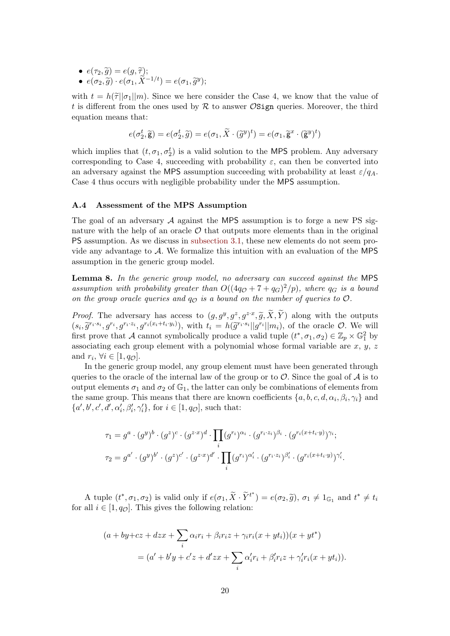- $e(\tau_2, \widetilde{g}) = e(g, \widetilde{\tau});$
- $e(\sigma_2, \widetilde{g}) \cdot e(\sigma_1, \widetilde{X}^{-1/t}) = e(\sigma_1, \widetilde{g}^y);$

with  $t = h(\tilde{\tau}||\sigma_1||m)$ . Since we here consider the Case 4, we know that the value of t is different from the ones used by  $R$  to answer OSign queries. Moreover, the third equation means that:

$$
e(\sigma_2^t, \widetilde{\mathbf{g}}) = e(\sigma_2^t, \widetilde{g}) = e(\sigma_1, \widetilde{X} \cdot (\widetilde{g}^y)^t) = e(\sigma_1, \widetilde{\mathbf{g}}^x \cdot (\widetilde{\mathbf{g}}^y)^t)
$$

which implies that  $(t, \sigma_1, \sigma_2^t)$  is a valid solution to the MPS problem. Any adversary corresponding to Case 4, succeeding with probability  $\varepsilon$ , can then be converted into an adversary against the MPS assumption succeeding with probability at least  $\varepsilon/q_A$ . Case 4 thus occurs with negligible probability under the MPS assumption.

#### <span id="page-19-0"></span>A.4 Assessment of the MPS Assumption

The goal of an adversary  $\mathcal A$  against the MPS assumption is to forge a new PS signature with the help of an oracle  $\mathcal O$  that outputs more elements than in the original PS assumption. As we discuss in [subsection 3.1,](#page-4-0) these new elements do not seem provide any advantage to A. We formalize this intuition with an evaluation of the MPS assumption in the generic group model.

Lemma 8. In the generic group model, no adversary can succeed against the MPS assumption with probability greater than  $O((4q_{\mathcal{O}}+7+q_{G})^{2}/p)$ , where  $q_{G}$  is a bound on the group oracle queries and  $q_{\mathcal{O}}$  is a bound on the number of queries to  $\mathcal{O}$ .

*Proof.* The adversary has access to  $(g, g^y, g^z, g^{z \cdot x}, \tilde{g}, \tilde{X}, \tilde{Y})$  along with the outputs  $(g, g^y, g^z, g^{z \cdot x}, \tilde{g}, \tilde{X}, \tilde{Y})$  along with the outputs  $(s_i, \tilde{g}^{r_i s_i}, g^{r_i}, g^{r_i z_i}, g^{r_i(x_i+t_i y_i)}),$  with  $t_i = h(\tilde{g}^{r_i s_i}||g^{r_i}||m_i)$ , of the oracle  $\mathcal{O}$ . We will first prove that A cannot symbolically produce a valid tuple  $(t^*, \sigma_1, \sigma_2) \in \mathbb{Z}_p \times \mathbb{G}_1^2$  by associating each group element with a polynomial whose formal variable are  $x, y, z$ and  $r_i, \forall i \in [1, q_{\mathcal{O}}].$ 

In the generic group model, any group element must have been generated through queries to the oracle of the internal law of the group or to  $\mathcal O$ . Since the goal of  $\mathcal A$  is to output elements  $\sigma_1$  and  $\sigma_2$  of  $\mathbb{G}_1$ , the latter can only be combinations of elements from the same group. This means that there are known coefficients  $\{a, b, c, d, \alpha_i, \beta_i, \gamma_i\}$  and  $\{a', b', c', d', \alpha'_i, \beta'_i, \gamma'_i\}$ , for  $i \in [1, q_{\mathcal{O}}]$ , such that:

$$
\tau_1 = g^a \cdot (g^y)^b \cdot (g^z)^c \cdot (g^{z \cdot x})^d \cdot \prod_i (g^{r_i})^{\alpha_i} \cdot (g^{r_i \cdot z_i})^{\beta_i} \cdot (g^{r_i(x+t_i \cdot y)})^{\gamma_i};
$$
  

$$
\tau_2 = g^{a'} \cdot (g^y)^{b'} \cdot (g^z)^{c'} \cdot (g^{z \cdot x})^{d'} \cdot \prod_i (g^{r_i})^{\alpha_i'} \cdot (g^{r_i \cdot z_i})^{\beta_i'} \cdot (g^{r_i(x+t_i \cdot y)})^{\gamma_i'}.
$$

A tuple  $(t^*, \sigma_1, \sigma_2)$  is valid only if  $e(\sigma_1, \tilde{X} \cdot \tilde{Y}^{t^*}) = e(\sigma_2, \tilde{g}), \sigma_1 \neq 1_{\mathbb{G}_1}$  and  $t^* \neq t_i$ for all  $i \in [1, q_{\mathcal{O}}]$ . This gives the following relation:

$$
(a+by+cz+dzx+\sum_{i}\alpha_{i}r_{i}+\beta_{i}r_{i}z+\gamma_{i}r_{i}(x+yt_{i}))(x+yt^{*})
$$

$$
=(a'+b'y+c'z+d'zx+\sum_{i}\alpha'_{i}r_{i}+\beta'_{i}r_{i}z+\gamma'_{i}r_{i}(x+yt_{i})).
$$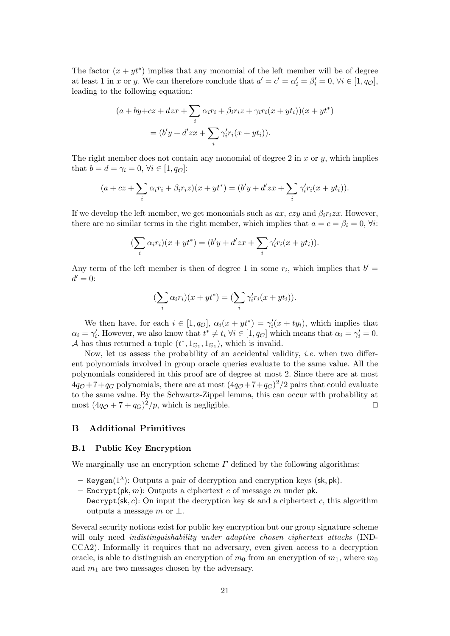The factor  $(x + y t^*)$  implies that any monomial of the left member will be of degree at least 1 in x or y. We can therefore conclude that  $a' = c' = \alpha'_i = \beta'_i = 0, \forall i \in [1, q_{\mathcal{O}}],$ leading to the following equation:

$$
(a+by+cz+dzx+\sum_{i}\alpha_{i}r_{i}+\beta_{i}r_{i}z+\gamma_{i}r_{i}(x+yt_{i}))(x+yt^{*})
$$

$$
=(b'y+d'zx+\sum_{i}\gamma_{i}'r_{i}(x+yt_{i})).
$$

The right member does not contain any monomial of degree 2 in  $x$  or  $y$ , which implies that  $b = d = \gamma_i = 0, \forall i \in [1, q_{\mathcal{O}}]$ :

$$
(a+cz+\sum_i\alpha_ir_i+\beta_ir_iz)(x+yt^*)=(b'y+d'zx+\sum_i\gamma_i'r_i(x+yt_i)).
$$

If we develop the left member, we get monomials such as  $ax$ ,  $czy$  and  $\beta_i r_i zx$ . However, there are no similar terms in the right member, which implies that  $a = c = \beta_i = 0$ ,  $\forall i$ :

$$
\left(\sum_i \alpha_i r_i\right)(x + yt^*) = \left(b'y + d'zx + \sum_i \gamma'_i r_i(x + yt_i)\right).
$$

Any term of the left member is then of degree 1 in some  $r_i$ , which implies that  $b' =$  $d' = 0$ :

$$
(\sum_i \alpha_i r_i)(x + yt^*) = (\sum_i \gamma'_i r_i(x + yt_i)).
$$

We then have, for each  $i \in [1, q_{\mathcal{O}}], \alpha_i(x + y t^*) = \gamma'_i(x + ty_i)$ , which implies that  $\alpha_i = \gamma'_i$ . However, we also know that  $t^* \neq t_i$   $\forall i \in [1, q_{\mathcal{O}}]$  which means that  $\alpha_i = \gamma'_i = 0$ . A has thus returned a tuple  $(t^*, 1_{\mathbb{G}_1}, 1_{\mathbb{G}_1})$ , which is invalid.

Now, let us assess the probability of an accidental validity, *i.e.* when two different polynomials involved in group oracle queries evaluate to the same value. All the polynomials considered in this proof are of degree at most 2. Since there are at most  $4q_{\mathcal{O}}+7+q_G$  polynomials, there are at most  $(4q_{\mathcal{O}}+7+q_G)^2/2$  pairs that could evaluate to the same value. By the Schwartz-Zippel lemma, this can occur with probability at most  $(4q_0 + 7 + q_G)^2/p$ , which is negligible.

# <span id="page-20-0"></span>B Additional Primitives

#### B.1 Public Key Encryption

We marginally use an encryption scheme  $\Gamma$  defined by the following algorithms:

- Keygen( $1^{\lambda}$ ): Outputs a pair of decryption and encryption keys (sk, pk).
- Encrypt(pk, m): Outputs a ciphertext c of message m under pk.
- Decrypt(sk, c): On input the decryption key sk and a ciphertext c, this algorithm outputs a message m or  $\perp$ .

Several security notions exist for public key encryption but our group signature scheme will only need *indistinguishability under adaptive chosen ciphertext attacks* (IND-CCA2). Informally it requires that no adversary, even given access to a decryption oracle, is able to distinguish an encryption of  $m_0$  from an encryption of  $m_1$ , where  $m_0$ and  $m_1$  are two messages chosen by the adversary.